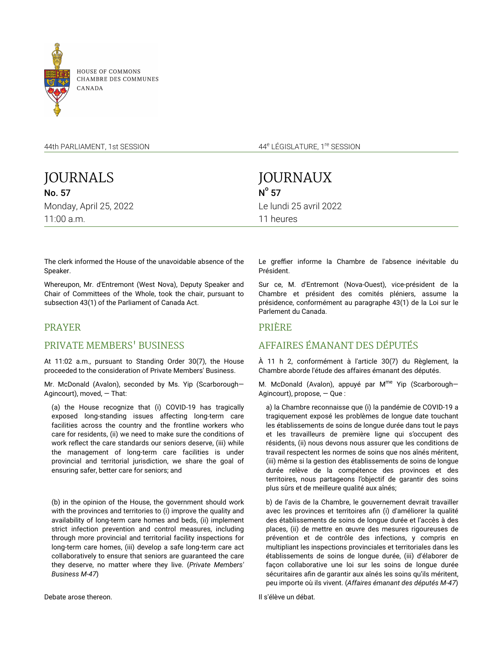

**HOUSE OF COMMONS** CHAMBRE DES COMMUNES

44th PARLIAMENT, 1st SESSION

JOURNALS No. 57 Monday, April 25, 2022 11:00 a.m.

JOURNAUX  $N^{\circ}$  57 Le lundi 25 avril 2022 11 heures

44<sup>e</sup> LÉGISLATURE, 1<sup>re</sup> SESSION

The clerk informed the House of the unavoidable absence of the Speaker.

Whereupon, Mr. d'Entremont (West Nova), Deputy Speaker and Chair of Committees of the Whole, took the chair, pursuant to subsection 43(1) of the Parliament of Canada Act.

# PRAYER

# PRIVATE MEMBERS' BUSINESS

At 11:02 a.m., pursuant to Standing Order 30(7), the House proceeded to the consideration of Private Members' Business.

Mr. McDonald (Avalon), seconded by Ms. Yip (Scarborough— Agincourt), moved, — That:

(a) the House recognize that (i) COVID-19 has tragically exposed long-standing issues affecting long-term care facilities across the country and the frontline workers who care for residents, (ii) we need to make sure the conditions of work reflect the care standards our seniors deserve, (iii) while the management of long-term care facilities is under provincial and territorial jurisdiction, we share the goal of ensuring safer, better care for seniors; and

(b) in the opinion of the House, the government should work with the provinces and territories to (i) improve the quality and availability of long-term care homes and beds, (ii) implement strict infection prevention and control measures, including through more provincial and territorial facility inspections for long-term care homes, (iii) develop a safe long-term care act collaboratively to ensure that seniors are guaranteed the care they deserve, no matter where they live. (*Private Members' Business M-47*)

Le greffier informe la Chambre de l'absence inévitable du Président.

Sur ce, M. d'Entremont (Nova-Ouest), vice-président de la Chambre et président des comités pléniers, assume la présidence, conformément au paragraphe 43(1) de la Loi sur le Parlement du Canada.

# PRIÈRE

# AFFAIRES ÉMANANT DES DÉPUTÉS

À 11 h 2, conformément à l'article 30(7) du Règlement, la Chambre aborde l'étude des affaires émanant des députés.

M. McDonald (Avalon), appuyé par M<sup>me</sup> Yip (Scarborough– Agincourt), propose, — Que :

a) la Chambre reconnaisse que (i) la pandémie de COVID-19 a tragiquement exposé les problèmes de longue date touchant les établissements de soins de longue durée dans tout le pays et les travailleurs de première ligne qui s'occupent des résidents, (ii) nous devons nous assurer que les conditions de travail respectent les normes de soins que nos aînés méritent, (iii) même si la gestion des établissements de soins de longue durée relève de la compétence des provinces et des territoires, nous partageons l'objectif de garantir des soins plus sûrs et de meilleure qualité aux aînés;

b) de l'avis de la Chambre, le gouvernement devrait travailler avec les provinces et territoires afin (i) d'améliorer la qualité des établissements de soins de longue durée et l'accès à des places, (ii) de mettre en œuvre des mesures rigoureuses de prévention et de contrôle des infections, y compris en multipliant les inspections provinciales et territoriales dans les établissements de soins de longue durée, (iii) d'élaborer de façon collaborative une loi sur les soins de longue durée sécuritaires afin de garantir aux aînés les soins qu'ils méritent, peu importe où ils vivent. (*Affaires émanant des députés M-47*)

Il s'élève un débat.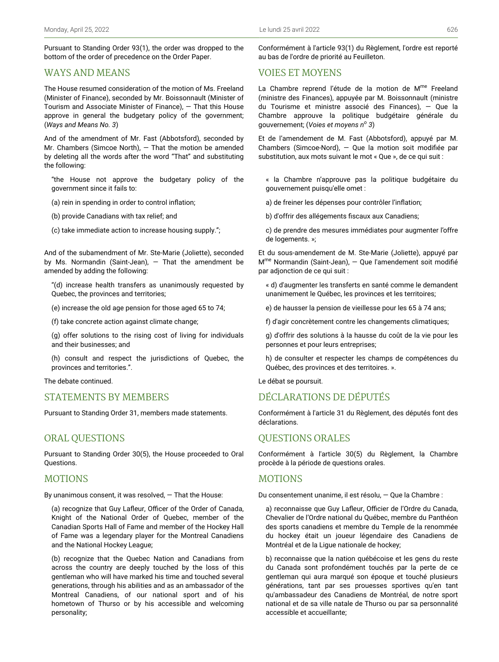Pursuant to Standing Order 93(1), the order was dropped to the bottom of the order of precedence on the Order Paper.

# WAYS AND MEANS

The House resumed consideration of the motion of Ms. Freeland (Minister of Finance), seconded by Mr. Boissonnault (Minister of Tourism and Associate Minister of Finance),  $-$  That this House approve in general the budgetary policy of the government; (*Ways and Means No. 3*)

And of the amendment of Mr. Fast (Abbotsford), seconded by Mr. Chambers (Simcoe North), — That the motion be amended by deleting all the words after the word "That" and substituting the following:

"the House not approve the budgetary policy of the government since it fails to:

(a) rein in spending in order to control inflation;

(b) provide Canadians with tax relief; and

(c) take immediate action to increase housing supply.";

And of the subamendment of Mr. Ste-Marie (Joliette), seconded by Ms. Normandin (Saint-Jean),  $-$  That the amendment be amended by adding the following:

"(d) increase health transfers as unanimously requested by Quebec, the provinces and territories;

(e) increase the old age pension for those aged 65 to 74;

(f) take concrete action against climate change;

(g) offer solutions to the rising cost of living for individuals and their businesses; and

(h) consult and respect the jurisdictions of Quebec, the provinces and territories.".

The debate continued.

# STATEMENTS BY MEMBERS

Pursuant to Standing Order 31, members made statements.

## ORAL QUESTIONS

Pursuant to Standing Order 30(5), the House proceeded to Oral Questions.

# MOTIONS

By unanimous consent, it was resolved, — That the House:

(a) recognize that Guy Lafleur, Officer of the Order of Canada, Knight of the National Order of Quebec, member of the Canadian Sports Hall of Fame and member of the Hockey Hall of Fame was a legendary player for the Montreal Canadiens and the National Hockey League;

(b) recognize that the Quebec Nation and Canadians from across the country are deeply touched by the loss of this gentleman who will have marked his time and touched several generations, through his abilities and as an ambassador of the Montreal Canadiens, of our national sport and of his hometown of Thurso or by his accessible and welcoming personality;

Conformément à l'article 93(1) du Règlement, l'ordre est reporté au bas de l'ordre de priorité au Feuilleton.

## VOIES ET MOYENS

La Chambre reprend l'étude de la motion de M<sup>me</sup> Freeland (ministre des Finances), appuyée par M. Boissonnault (ministre du Tourisme et ministre associé des Finances), — Que la Chambre approuve la politique budgétaire générale du gouvernement; (*Voies et moyens n<sup>o</sup> 3*)

Et de l'amendement de M. Fast (Abbotsford), appuyé par M. Chambers (Simcoe-Nord), — Que la motion soit modifiée par substitution, aux mots suivant le mot « Que », de ce qui suit :

« la Chambre n'approuve pas la politique budgétaire du gouvernement puisqu'elle omet :

a) de freiner les dépenses pour contrôler l'inflation;

b) d'offrir des allégements fiscaux aux Canadiens;

c) de prendre des mesures immédiates pour augmenter l'offre de logements. »;

Et du sous-amendement de M. Ste-Marie (Joliette), appuyé par M<sup>me</sup> Normandin (Saint-Jean), - Que l'amendement soit modifié par adjonction de ce qui suit :

« d) d'augmenter les transferts en santé comme le demandent unanimement le Québec, les provinces et les territoires;

e) de hausser la pension de vieillesse pour les 65 à 74 ans;

f) d'agir concrètement contre les changements climatiques;

g) d'offrir des solutions à la hausse du coût de la vie pour les personnes et pour leurs entreprises;

h) de consulter et respecter les champs de compétences du Québec, des provinces et des territoires. ».

Le débat se poursuit.

# DÉCLARATIONS DE DÉPUTÉS

Conformément à l'article 31 du Règlement, des députés font des déclarations.

## QUESTIONS ORALES

Conformément à l'article 30(5) du Règlement, la Chambre procède à la période de questions orales.

## MOTIONS

Du consentement unanime, il est résolu, — Que la Chambre :

a) reconnaisse que Guy Lafleur, Officier de l'Ordre du Canada, Chevalier de l'Ordre national du Québec, membre du Panthéon des sports canadiens et membre du Temple de la renommée du hockey était un joueur légendaire des Canadiens de Montréal et de la Ligue nationale de hockey;

b) reconnaisse que la nation québécoise et les gens du reste du Canada sont profondément touchés par la perte de ce gentleman qui aura marqué son époque et touché plusieurs générations, tant par ses prouesses sportives qu'en tant qu'ambassadeur des Canadiens de Montréal, de notre sport national et de sa ville natale de Thurso ou par sa personnalité accessible et accueillante;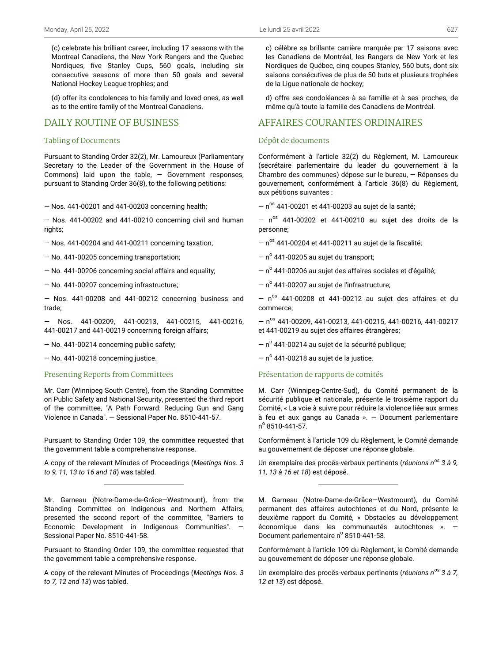(c) celebrate his brilliant career, including 17 seasons with the Montreal Canadiens, the New York Rangers and the Quebec Nordiques, five Stanley Cups, 560 goals, including six consecutive seasons of more than 50 goals and several National Hockey League trophies; and

(d) offer its condolences to his family and loved ones, as well as to the entire family of the Montreal Canadiens.

# DAILY ROUTINE OF BUSINESS

#### Tabling of Documents

Pursuant to Standing Order 32(2), Mr. Lamoureux (Parliamentary Secretary to the Leader of the Government in the House of Commons) laid upon the table, — Government responses, pursuant to Standing Order 36(8), to the following petitions:

— Nos. 441-00201 and 441-00203 concerning health;

— Nos. 441-00202 and 441-00210 concerning civil and human rights;

— Nos. 441-00204 and 441-00211 concerning taxation;

— No. 441-00205 concerning transportation;

— No. 441-00206 concerning social affairs and equality;

— No. 441-00207 concerning infrastructure;

— Nos. 441-00208 and 441-00212 concerning business and trade;

— Nos. 441-00209, 441-00213, 441-00215, 441-00216, 441-00217 and 441-00219 concerning foreign affairs;

— No. 441-00214 concerning public safety;

— No. 441-00218 concerning justice.

### Presenting Reports from Committees

Mr. Carr (Winnipeg South Centre), from the Standing Committee on Public Safety and National Security, presented the third report of the committee, "A Path Forward: Reducing Gun and Gang Violence in Canada". — Sessional Paper No. 8510-441-57.

Pursuant to Standing Order 109, the committee requested that the government table a comprehensive response.

A copy of the relevant Minutes of Proceedings (*Meetings Nos. 3 to 9, 11, 13 to 16 and 18*) was tabled.

Pursuant to Standing Order 109, the committee requested that the government table a comprehensive response.

A copy of the relevant Minutes of Proceedings (*Meetings Nos. 3 to 7, 12 and 13*) was tabled.

c) célèbre sa brillante carrière marquée par 17 saisons avec les Canadiens de Montréal, les Rangers de New York et les Nordiques de Québec, cinq coupes Stanley, 560 buts, dont six saisons consécutives de plus de 50 buts et plusieurs trophées de la Ligue nationale de hockey;

d) offre ses condoléances à sa famille et à ses proches, de même qu'à toute la famille des Canadiens de Montréal.

# AFFAIRES COURANTES ORDINAIRES

#### Dépôt de documents

Conformément à l'article 32(2) du Règlement, M. Lamoureux (secrétaire parlementaire du leader du gouvernement à la Chambre des communes) dépose sur le bureau, — Réponses du gouvernement, conformément à l'article 36(8) du Règlement, aux pétitions suivantes :

 $-$  n<sup>os</sup> 441-00201 et 441-00203 au sujet de la santé;

 $-$  n<sup>os</sup> 441-00202 et 441-00210 au sujet des droits de la personne;

 $-$  n<sup>os</sup> 441-00204 et 441-00211 au sujet de la fiscalité;

 $-$  n $^{\circ}$  441-00205 au sujet du transport;

 $-$  nº 441-00206 au sujet des affaires sociales et d'égalité;

– nº 441-00207 au sujet de l'infrastructure;

 $-$  n<sup>os</sup> 441-00208 et 441-00212 au sujet des affaires et du commerce;

 $-$  n<sup>os</sup> 441-00209, 441-00213, 441-00215, 441-00216, 441-00217 et 441-00219 au sujet des affaires étrangères;

– nº 441-00214 au sujet de la sécurité publique;

 $-$  n $^{\circ}$  441-00218 au sujet de la justice.

#### Présentation de rapports de comités

M. Carr (Winnipeg-Centre-Sud), du Comité permanent de la sécurité publique et nationale, présente le troisième rapport du Comité, « La voie à suivre pour réduire la violence liée aux armes à feu et aux gangs au Canada ». — Document parlementaire n o 8510-441-57.

Conformément à l'article 109 du Règlement, le Comité demande au gouvernement de déposer une réponse globale.

Un exemplaire des procès-verbaux pertinents (*réunions nos 3 à 9, 11, 13 à 16 et 18*) est déposé.

M. Garneau (Notre-Dame-de-Grâce—Westmount), du Comité permanent des affaires autochtones et du Nord, présente le deuxième rapport du Comité, « Obstacles au développement économique dans les communautés autochtones ». — Document parlementaire nº 8510-441-58.

Conformément à l'article 109 du Règlement, le Comité demande au gouvernement de déposer une réponse globale.

Un exemplaire des procès-verbaux pertinents (*réunions nos 3 à 7, 12 et 13*) est déposé.

Mr. Garneau (Notre-Dame-de-Grâce—Westmount), from the Standing Committee on Indigenous and Northern Affairs, presented the second report of the committee, "Barriers to Economic Development in Indigenous Communities". — Sessional Paper No. 8510-441-58.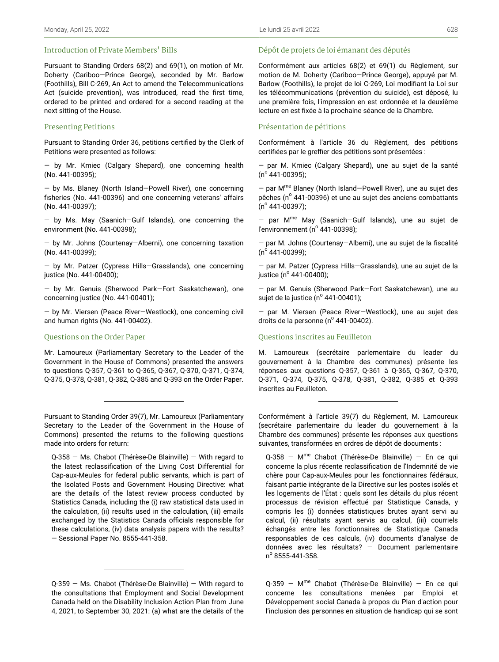#### Introduction of Private Members' Bills

Pursuant to Standing Orders 68(2) and 69(1), on motion of Mr. Doherty (Cariboo—Prince George), seconded by Mr. Barlow (Foothills), Bill C-269, An Act to amend the Telecommunications Act (suicide prevention), was introduced, read the first time, ordered to be printed and ordered for a second reading at the next sitting of the House.

### Presenting Petitions

Pursuant to Standing Order 36, petitions certified by the Clerk of Petitions were presented as follows:

— by Mr. Kmiec (Calgary Shepard), one concerning health (No. 441-00395);

— by Ms. Blaney (North Island—Powell River), one concerning fisheries (No. 441-00396) and one concerning veterans' affairs (No. 441-00397);

— by Ms. May (Saanich—Gulf Islands), one concerning the environment (No. 441-00398);

— by Mr. Johns (Courtenay—Alberni), one concerning taxation (No. 441-00399);

— by Mr. Patzer (Cypress Hills—Grasslands), one concerning justice (No. 441-00400);

— by Mr. Genuis (Sherwood Park—Fort Saskatchewan), one concerning justice (No. 441-00401);

— by Mr. Viersen (Peace River—Westlock), one concerning civil and human rights (No. 441-00402).

#### Questions on the Order Paper

Mr. Lamoureux (Parliamentary Secretary to the Leader of the Government in the House of Commons) presented the answers to questions Q-357, Q-361 to Q-365, Q-367, Q-370, Q-371, Q-374, Q-375, Q-378, Q-381, Q-382, Q-385 and Q-393 on the Order Paper.

Pursuant to Standing Order 39(7), Mr. Lamoureux (Parliamentary Secretary to the Leader of the Government in the House of Commons) presented the returns to the following questions made into orders for return:

Q-358 — Ms. Chabot (Thérèse-De Blainville) — With regard to the latest reclassification of the Living Cost Differential for Cap-aux-Meules for federal public servants, which is part of the Isolated Posts and Government Housing Directive: what are the details of the latest review process conducted by Statistics Canada, including the (i) raw statistical data used in the calculation, (ii) results used in the calculation, (iii) emails exchanged by the Statistics Canada officials responsible for these calculations, (iv) data analysis papers with the results? — Sessional Paper No. 8555-441-358.

#### Dépôt de projets de loi émanant des députés

Conformément aux articles 68(2) et 69(1) du Règlement, sur motion de M. Doherty (Cariboo—Prince George), appuyé par M. Barlow (Foothills), le projet de loi C-269, Loi modifiant la Loi sur les télécommunications (prévention du suicide), est déposé, lu une première fois, l'impression en est ordonnée et la deuxième lecture en est fixée à la prochaine séance de la Chambre.

#### Présentation de pétitions

Conformément à l'article 36 du Règlement, des pétitions certifiées par le greffier des pétitions sont présentées :

— par M. Kmiec (Calgary Shepard), une au sujet de la santé (n<sup>o</sup> 441-00395);

— par M me Blaney (North Island—Powell River), une au sujet des pêches (nº 441-00396) et une au sujet des anciens combattants (n<sup>o</sup> 441-00397);

— par M me May (Saanich—Gulf Islands), une au sujet de l'environnement (nº 441-00398);

— par M. Johns (Courtenay—Alberni), une au sujet de la fiscalité (n<sup>o</sup> 441-00399);

— par M. Patzer (Cypress Hills—Grasslands), une au sujet de la justice (n<sup>º</sup> 441-00400);

— par M. Genuis (Sherwood Park—Fort Saskatchewan), une au sujet de la justice (nº 441-00401);

— par M. Viersen (Peace River—Westlock), une au sujet des droits de la personne (nº 441-00402).

#### Questions inscrites au Feuilleton

M. Lamoureux (secrétaire parlementaire du leader du gouvernement à la Chambre des communes) présente les réponses aux questions Q-357, Q-361 à Q-365, Q-367, Q-370, Q-371, Q-374, Q-375, Q-378, Q-381, Q-382, Q-385 et Q-393 inscrites au Feuilleton.

Conformément à l'article 39(7) du Règlement, M. Lamoureux (secrétaire parlementaire du leader du gouvernement à la Chambre des communes) présente les réponses aux questions suivantes, transformées en ordres de dépôt de documents :

Q-358 - M<sup>me</sup> Chabot (Thérèse-De Blainville) - En ce qui concerne la plus récente reclassification de l'Indemnité de vie chère pour Cap-aux-Meules pour les fonctionnaires fédéraux, faisant partie intégrante de la Directive sur les postes isolés et les logements de l'État : quels sont les détails du plus récent processus de révision effectué par Statistique Canada, y compris les (i) données statistiques brutes ayant servi au calcul, (ii) résultats ayant servis au calcul, (iii) courriels échangés entre les fonctionnaires de Statistique Canada responsables de ces calculs, (iv) documents d'analyse de données avec les résultats? — Document parlementaire n<sup>o</sup> 8555-441-358.

Q-359 - M<sup>me</sup> Chabot (Thérèse-De Blainville) - En ce qui concerne les consultations menées par Emploi et Développement social Canada à propos du Plan d'action pour l'inclusion des personnes en situation de handicap qui se sont

Q-359 — Ms. Chabot (Thérèse-De Blainville) — With regard to the consultations that Employment and Social Development Canada held on the Disability Inclusion Action Plan from June 4, 2021, to September 30, 2021: (a) what are the details of the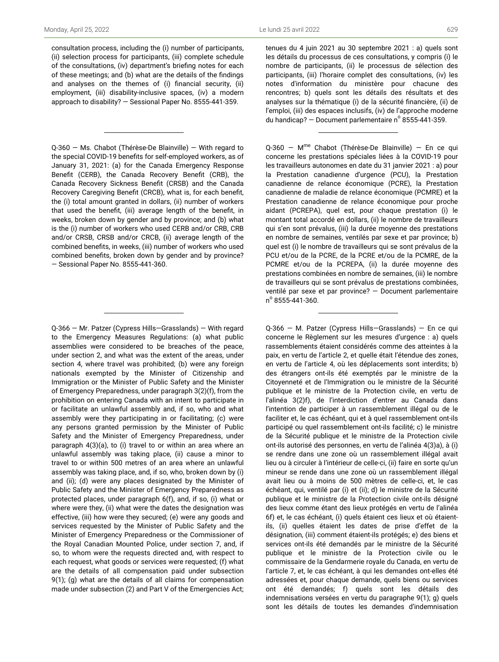consultation process, including the (i) number of participants, (ii) selection process for participants, (iii) complete schedule of the consultations, (iv) department's briefing notes for each of these meetings; and (b) what are the details of the findings and analyses on the themes of (i) financial security, (ii) employment, (iii) disability-inclusive spaces, (iv) a modern approach to disability? — Sessional Paper No. 8555-441-359.

Q-360 — Ms. Chabot (Thérèse-De Blainville) — With regard to the special COVID-19 benefits for self-employed workers, as of January 31, 2021: (a) for the Canada Emergency Response Benefit (CERB), the Canada Recovery Benefit (CRB), the Canada Recovery Sickness Benefit (CRSB) and the Canada Recovery Caregiving Benefit (CRCB), what is, for each benefit, the (i) total amount granted in dollars, (ii) number of workers that used the benefit, (iii) average length of the benefit, in weeks, broken down by gender and by province; and (b) what is the (i) number of workers who used CERB and/or CRB, CRB and/or CRSB, CRSB and/or CRCB, (ii) average length of the combined benefits, in weeks, (iii) number of workers who used combined benefits, broken down by gender and by province? — Sessional Paper No. 8555-441-360.

Q-366 — Mr. Patzer (Cypress Hills—Grasslands) — With regard to the Emergency Measures Regulations: (a) what public assemblies were considered to be breaches of the peace, under section 2, and what was the extent of the areas, under section 4, where travel was prohibited; (b) were any foreign nationals exempted by the Minister of Citizenship and Immigration or the Minister of Public Safety and the Minister of Emergency Preparedness, under paragraph 3(2)(f), from the prohibition on entering Canada with an intent to participate in or facilitate an unlawful assembly and, if so, who and what assembly were they participating in or facilitating; (c) were any persons granted permission by the Minister of Public Safety and the Minister of Emergency Preparedness, under paragraph 4(3)(a), to (i) travel to or within an area where an unlawful assembly was taking place, (ii) cause a minor to travel to or within 500 metres of an area where an unlawful assembly was taking place, and, if so, who, broken down by (i) and (ii); (d) were any places designated by the Minister of Public Safety and the Minister of Emergency Preparedness as protected places, under paragraph 6(f), and, if so, (i) what or where were they, (ii) what were the dates the designation was effective, (iii) how were they secured; (e) were any goods and services requested by the Minister of Public Safety and the Minister of Emergency Preparedness or the Commissioner of the Royal Canadian Mounted Police, under section 7, and, if so, to whom were the requests directed and, with respect to each request, what goods or services were requested; (f) what are the details of all compensation paid under subsection 9(1); (g) what are the details of all claims for compensation made under subsection (2) and Part V of the Emergencies Act; tenues du 4 juin 2021 au 30 septembre 2021 : a) quels sont les détails du processus de ces consultations, y compris (i) le nombre de participants, (ii) le processus de sélection des participants, (iii) l'horaire complet des consultations, (iv) les notes d'information du ministère pour chacune des rencontres; b) quels sont les détails des résultats et des analyses sur la thématique (i) de la sécurité financière, (ii) de l'emploi, (iii) des espaces inclusifs, (iv) de l'approche moderne du handicap?  $-$  Document parlementaire n° 8555-441-359.

Q-360 - M<sup>me</sup> Chabot (Thérèse-De Blainville) - En ce qui concerne les prestations spéciales liées à la COVID-19 pour les travailleurs autonomes en date du 31 janvier 2021 : a) pour la Prestation canadienne d'urgence (PCU), la Prestation canadienne de relance économique (PCRE), la Prestation canadienne de maladie de relance économique (PCMRE) et la Prestation canadienne de relance économique pour proche aidant (PCREPA), quel est, pour chaque prestation (i) le montant total accordé en dollars, (ii) le nombre de travailleurs qui s'en sont prévalus, (iii) la durée moyenne des prestations en nombre de semaines, ventilés par sexe et par province; b) quel est (i) le nombre de travailleurs qui se sont prévalus de la PCU et/ou de la PCRE, de la PCRE et/ou de la PCMRE, de la PCMRE et/ou de la PCREPA, (ii) la durée moyenne des prestations combinées en nombre de semaines, (iii) le nombre de travailleurs qui se sont prévalus de prestations combinées, ventilé par sexe et par province? — Document parlementaire n o 8555-441-360.

Q-366 — M. Patzer (Cypress Hills—Grasslands) — En ce qui concerne le Règlement sur les mesures d'urgence : a) quels rassemblements étaient considérés comme des atteintes à la paix, en vertu de l'article 2, et quelle était l'étendue des zones, en vertu de l'article 4, où les déplacements sont interdits; b) des étrangers ont-ils été exemptés par le ministre de la Citoyenneté et de l'Immigration ou le ministre de la Sécurité publique et le ministre de la Protection civile, en vertu de l'alinéa 3(2)f), de l'interdiction d'entrer au Canada dans l'intention de participer à un rassemblement illégal ou de le faciliter et, le cas échéant, qui et à quel rassemblement ont-ils participé ou quel rassemblement ont-ils facilité; c) le ministre de la Sécurité publique et le ministre de la Protection civile ont-ils autorisé des personnes, en vertu de l'alinéa 4(3)a), à (i) se rendre dans une zone où un rassemblement illégal avait lieu ou à circuler à l'intérieur de celle-ci, (ii) faire en sorte qu'un mineur se rende dans une zone où un rassemblement illégal avait lieu ou à moins de 500 mètres de celle-ci, et, le cas échéant, qui, ventilé par (i) et (ii); d) le ministre de la Sécurité publique et le ministre de la Protection civile ont-ils désigné des lieux comme étant des lieux protégés en vertu de l'alinéa 6f) et, le cas échéant, (i) quels étaient ces lieux et où étaientils, (ii) quelles étaient les dates de prise d'effet de la désignation, (iii) comment étaient-ils protégés; e) des biens et services ont-ils été demandés par le ministre de la Sécurité publique et le ministre de la Protection civile ou le commissaire de la Gendarmerie royale du Canada, en vertu de l'article 7, et, le cas échéant, à qui les demandes ont-elles été adressées et, pour chaque demande, quels biens ou services ont été demandés; f) quels sont les détails des indemnisations versées en vertu du paragraphe 9(1); g) quels sont les détails de toutes les demandes d'indemnisation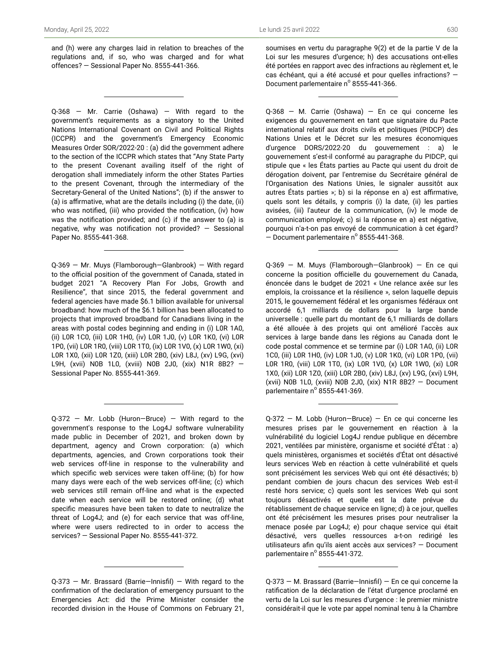and (h) were any charges laid in relation to breaches of the regulations and, if so, who was charged and for what offences? — Sessional Paper No. 8555-441-366.

Q-368 — Mr. Carrie (Oshawa) — With regard to the government's requirements as a signatory to the United Nations International Covenant on Civil and Political Rights (ICCPR) and the government's Emergency Economic Measures Order SOR/2022-20 : (a) did the government adhere to the section of the ICCPR which states that "Any State Party to the present Covenant availing itself of the right of derogation shall immediately inform the other States Parties to the present Covenant, through the intermediary of the Secretary-General of the United Nations"; (b) if the answer to (a) is affirmative, what are the details including (i) the date, (ii) who was notified, (iii) who provided the notification, (iv) how was the notification provided; and (c) if the answer to (a) is negative, why was notification not provided? — Sessional Paper No. 8555-441-368.

Q-369 — Mr. Muys (Flamborough—Glanbrook) — With regard to the official position of the government of Canada, stated in budget 2021 "A Recovery Plan For Jobs, Growth and Resilience", that since 2015, the federal government and federal agencies have made \$6.1 billion available for universal broadband: how much of the \$6.1 billion has been allocated to projects that improved broadband for Canadians living in the areas with postal codes beginning and ending in (i) L0R 1A0, (ii) L0R 1C0, (iii) L0R 1H0, (iv) L0R 1J0, (v) L0R 1K0, (vi) L0R 1P0, (vii) L0R 1R0, (viii) L0R 1T0, (ix) L0R 1V0, (x) L0R 1W0, (xi) L0R 1X0, (xii) L0R 1Z0, (xiii) L0R 2B0, (xiv) L8J, (xv) L9G, (xvi) L9H, (xvii) N0B 1L0, (xviii) N0B 2J0, (xix) N1R 8B2? — Sessional Paper No. 8555-441-369.

 $Q-372$  – Mr. Lobb (Huron-Bruce) – With regard to the government's response to the Log4J software vulnerability made public in December of 2021, and broken down by department, agency and Crown corporation: (a) which departments, agencies, and Crown corporations took their web services off-line in response to the vulnerability and which specific web services were taken off-line; (b) for how many days were each of the web services off-line; (c) which web services still remain off-line and what is the expected date when each service will be restored online; (d) what specific measures have been taken to date to neutralize the threat of Log4J; and (e) for each service that was off-line, where were users redirected to in order to access the services? — Sessional Paper No. 8555-441-372.

Q-373 — Mr. Brassard (Barrie—Innisfil) — With regard to the confirmation of the declaration of emergency pursuant to the Emergencies Act: did the Prime Minister consider the recorded division in the House of Commons on February 21,

soumises en vertu du paragraphe 9(2) et de la partie V de la Loi sur les mesures d'urgence; h) des accusations ont-elles été portées en rapport avec des infractions au règlement et, le cas échéant, qui a été accusé et pour quelles infractions? — Document parlementaire nº 8555-441-366.

Q-368 — M. Carrie (Oshawa) — En ce qui concerne les exigences du gouvernement en tant que signataire du Pacte international relatif aux droits civils et politiques (PIDCP) des Nations Unies et le Décret sur les mesures économiques d'urgence DORS/2022-20 du gouvernement : a) le gouvernement s'est-il conformé au paragraphe du PIDCP, qui stipule que « les États parties au Pacte qui usent du droit de dérogation doivent, par l'entremise du Secrétaire général de l'Organisation des Nations Unies, le signaler aussitôt aux autres États parties »; b) si la réponse en a) est affirmative, quels sont les détails, y compris (i) la date, (ii) les parties avisées, (iii) l'auteur de la communication, (iv) le mode de communication employé; c) si la réponse en a) est négative, pourquoi n'a-t-on pas envoyé de communication à cet égard?  $-$  Document parlementaire n° 8555-441-368.

Q-369 — M. Muys (Flamborough—Glanbrook) — En ce qui concerne la position officielle du gouvernement du Canada, énoncée dans le budget de 2021 « Une relance axée sur les emplois, la croissance et la résilience », selon laquelle depuis 2015, le gouvernement fédéral et les organismes fédéraux ont accordé 6,1 milliards de dollars pour la large bande universelle : quelle part du montant de 6,1 milliards de dollars a été allouée à des projets qui ont amélioré l'accès aux services à large bande dans les régions au Canada dont le code postal commence et se termine par (i) L0R 1A0, (ii) L0R 1C0, (iii) L0R 1H0, (iv) L0R 1J0, (v) L0R 1K0, (vi) L0R 1P0, (vii) L0R 1R0, (viii) L0R 1T0, (ix) L0R 1V0, (x) L0R 1W0, (xi) L0R 1X0, (xii) L0R 1Z0, (xiii) L0R 2B0, (xiv) L8J, (xv) L9G, (xvi) L9H, (xvii) N0B 1L0, (xviii) N0B 2J0, (xix) N1R 8B2? — Document parlementaire nº 8555-441-369.

Q-372 — M. Lobb (Huron—Bruce) — En ce qui concerne les mesures prises par le gouvernement en réaction à la vulnérabilité du logiciel Log4J rendue publique en décembre 2021, ventilées par ministère, organisme et société d'État : a) quels ministères, organismes et sociétés d'État ont désactivé leurs services Web en réaction à cette vulnérabilité et quels sont précisément les services Web qui ont été désactivés; b) pendant combien de jours chacun des services Web est-il resté hors service; c) quels sont les services Web qui sont toujours désactivés et quelle est la date prévue du rétablissement de chaque service en ligne; d) à ce jour, quelles ont été précisément les mesures prises pour neutraliser la menace posée par Log4J; e) pour chaque service qui était désactivé, vers quelles ressources a-t-on redirigé les utilisateurs afin qu'ils aient accès aux services? — Document parlementaire nº 8555-441-372.

Q-373 — M. Brassard (Barrie—Innisfil) — En ce qui concerne la ratification de la déclaration de l'état d'urgence proclamé en vertu de la Loi sur les mesures d'urgence : le premier ministre considérait-il que le vote par appel nominal tenu à la Chambre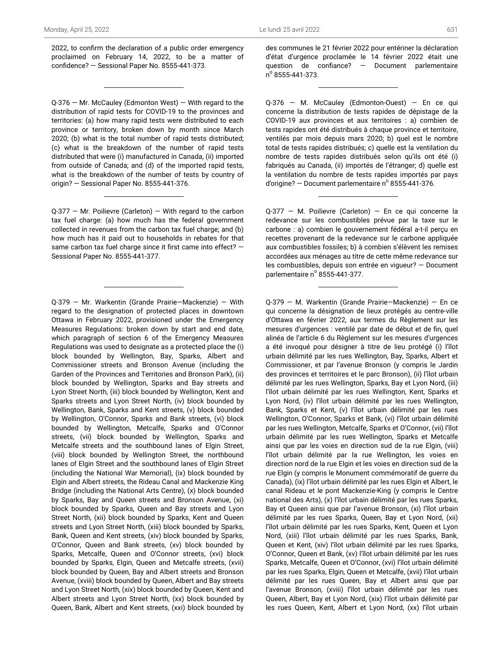2022, to confirm the declaration of a public order emergency proclaimed on February 14, 2022, to be a matter of confidence? — Sessional Paper No. 8555-441-373.

Q-376 — Mr. McCauley (Edmonton West) — With regard to the distribution of rapid tests for COVID-19 to the provinces and territories: (a) how many rapid tests were distributed to each province or territory, broken down by month since March 2020; (b) what is the total number of rapid tests distributed; (c) what is the breakdown of the number of rapid tests distributed that were (i) manufactured in Canada, (ii) imported from outside of Canada; and (d) of the imported rapid tests, what is the breakdown of the number of tests by country of origin? — Sessional Paper No. 8555-441-376.

 $Q-377$  – Mr. Poilievre (Carleton) – With regard to the carbon tax fuel charge: (a) how much has the federal government collected in revenues from the carbon tax fuel charge; and (b) how much has it paid out to households in rebates for that same carbon tax fuel charge since it first came into effect? -Sessional Paper No. 8555-441-377.

Q-379 — Mr. Warkentin (Grande Prairie—Mackenzie) — With regard to the designation of protected places in downtown Ottawa in February 2022, provisioned under the Emergency Measures Regulations: broken down by start and end date, which paragraph of section 6 of the Emergency Measures Regulations was used to designate as a protected place the (i) block bounded by Wellington, Bay, Sparks, Albert and Commissioner streets and Bronson Avenue (including the Garden of the Provinces and Territories and Bronson Park), (ii) block bounded by Wellington, Sparks and Bay streets and Lyon Street North, (iii) block bounded by Wellington, Kent and Sparks streets and Lyon Street North, (iv) block bounded by Wellington, Bank, Sparks and Kent streets, (v) block bounded by Wellington, O'Connor, Sparks and Bank streets, (vi) block bounded by Wellington, Metcalfe, Sparks and O'Connor streets, (vii) block bounded by Wellington, Sparks and Metcalfe streets and the southbound lanes of Elgin Street, (viii) block bounded by Wellington Street, the northbound lanes of Elgin Street and the southbound lanes of Elgin Street (including the National War Memorial), (ix) block bounded by Elgin and Albert streets, the Rideau Canal and Mackenzie King Bridge (including the National Arts Centre), (x) block bounded by Sparks, Bay and Queen streets and Bronson Avenue, (xi) block bounded by Sparks, Queen and Bay streets and Lyon Street North, (xii) block bounded by Sparks, Kent and Queen streets and Lyon Street North, (xiii) block bounded by Sparks, Bank, Queen and Kent streets, (xiv) block bounded by Sparks, O'Connor, Queen and Bank streets, (xv) block bounded by Sparks, Metcalfe, Queen and O'Connor streets, (xvi) block bounded by Sparks, Elgin, Queen and Metcalfe streets, (xvii) block bounded by Queen, Bay and Albert streets and Bronson Avenue, (xviii) block bounded by Queen, Albert and Bay streets and Lyon Street North, (xix) block bounded by Queen, Kent and Albert streets and Lyon Street North, (xx) block bounded by Queen, Bank, Albert and Kent streets, (xxi) block bounded by des communes le 21 février 2022 pour entériner la déclaration d'état d'urgence proclamée le 14 février 2022 était une question de confiance? — Document parlementaire  $n^{\circ}$  8555-441-373.

Q-376 — M. McCauley (Edmonton-Ouest) — En ce qui concerne la distribution de tests rapides de dépistage de la COVID-19 aux provinces et aux territoires : a) combien de tests rapides ont été distribués à chaque province et territoire, ventilés par mois depuis mars 2020; b) quel est le nombre total de tests rapides distribués; c) quelle est la ventilation du nombre de tests rapides distribués selon qu'ils ont été (i) fabriqués au Canada, (ii) importés de l'étranger; d) quelle est la ventilation du nombre de tests rapides importés par pays d'origine? – Document parlementaire n° 8555-441-376.

Q-377 — M. Poilievre (Carleton) — En ce qui concerne la redevance sur les combustibles prévue par la taxe sur le carbone : a) combien le gouvernement fédéral a-t-il perçu en recettes provenant de la redevance sur le carbone appliquée aux combustibles fossiles; b) à combien s'élèvent les remises accordées aux ménages au titre de cette même redevance sur les combustibles, depuis son entrée en vigueur? — Document parlementaire nº 8555-441-377.

Q-379 — M. Warkentin (Grande Prairie—Mackenzie) — En ce qui concerne la désignation de lieux protégés au centre-ville d'Ottawa en février 2022, aux termes du Règlement sur les mesures d'urgences : ventilé par date de début et de fin, quel alinéa de l'article 6 du Règlement sur les mesures d'urgences a été invoqué pour désigner à titre de lieu protégé (i) l'îlot urbain délimité par les rues Wellington, Bay, Sparks, Albert et Commissioner, et par l'avenue Bronson (y compris le Jardin des provinces et territoires et le parc Bronson), (ii) l'îlot urbain délimité par les rues Wellington, Sparks, Bay et Lyon Nord, (iii) l'îlot urbain délimité par les rues Wellington, Kent, Sparks et Lyon Nord, (iv) l'îlot urbain délimité par les rues Wellington, Bank, Sparks et Kent, (v) l'îlot urbain délimité par les rues Wellington, O'Connor, Sparks et Bank, (vi) l'îlot urbain délimité par les rues Wellington, Metcalfe, Sparks et O'Connor, (vii) l'îlot urbain délimité par les rues Wellington, Sparks et Metcalfe ainsi que par les voies en direction sud de la rue Elgin, (viii) l'îlot urbain délimité par la rue Wellington, les voies en direction nord de la rue Elgin et les voies en direction sud de la rue Elgin (y compris le Monument commémoratif de guerre du Canada), (ix) l'îlot urbain délimité par les rues Elgin et Albert, le canal Rideau et le pont Mackenzie-King (y compris le Centre national des Arts), (x) l'îlot urbain délimité par les rues Sparks, Bay et Queen ainsi que par l'avenue Bronson, (xi) l'îlot urbain délimité par les rues Sparks, Queen, Bay et Lyon Nord, (xii) l'îlot urbain délimité par les rues Sparks, Kent, Queen et Lyon Nord, (xiii) l'îlot urbain délimité par les rues Sparks, Bank, Queen et Kent, (xiv) l'îlot urbain délimité par les rues Sparks, O'Connor, Queen et Bank, (xv) l'îlot urbain délimité par les rues Sparks, Metcalfe, Queen et O'Connor, (xvi) l'îlot urbain délimité par les rues Sparks, Elgin, Queen et Metcalfe, (xvii) l'îlot urbain délimité par les rues Queen, Bay et Albert ainsi que par l'avenue Bronson, (xviii) l'îlot urbain délimité par les rues Queen, Albert, Bay et Lyon Nord, (xix) l'îlot urbain délimité par les rues Queen, Kent, Albert et Lyon Nord, (xx) l'îlot urbain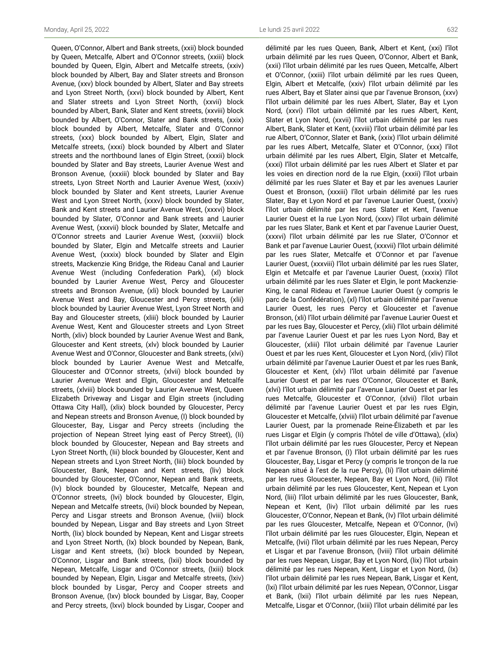Queen, O'Connor, Albert and Bank streets, (xxii) block bounded by Queen, Metcalfe, Albert and O'Connor streets, (xxiii) block bounded by Queen, Elgin, Albert and Metcalfe streets, (xxiv) block bounded by Albert, Bay and Slater streets and Bronson Avenue, (xxv) block bounded by Albert, Slater and Bay streets and Lyon Street North, (xxvi) block bounded by Albert, Kent and Slater streets and Lyon Street North, (xxvii) block bounded by Albert, Bank, Slater and Kent streets, (xxviii) block bounded by Albert, O'Connor, Slater and Bank streets, (xxix) block bounded by Albert, Metcalfe, Slater and O'Connor streets, (xxx) block bounded by Albert, Elgin, Slater and Metcalfe streets, (xxxi) block bounded by Albert and Slater streets and the northbound lanes of Elgin Street, (xxxii) block bounded by Slater and Bay streets, Laurier Avenue West and Bronson Avenue, (xxxiii) block bounded by Slater and Bay streets, Lyon Street North and Laurier Avenue West, (xxxiv) block bounded by Slater and Kent streets, Laurier Avenue West and Lyon Street North, (xxxv) block bounded by Slater, Bank and Kent streets and Laurier Avenue West, (xxxvi) block bounded by Slater, O'Connor and Bank streets and Laurier Avenue West, (xxxvii) block bounded by Slater, Metcalfe and O'Connor streets and Laurier Avenue West, (xxxviii) block bounded by Slater, Elgin and Metcalfe streets and Laurier Avenue West, (xxxix) block bounded by Slater and Elgin streets, Mackenzie King Bridge, the Rideau Canal and Laurier Avenue West (including Confederation Park), (xl) block bounded by Laurier Avenue West, Percy and Gloucester streets and Bronson Avenue, (xli) block bounded by Laurier Avenue West and Bay, Gloucester and Percy streets, (xlii) block bounded by Laurier Avenue West, Lyon Street North and Bay and Gloucester streets, (xliii) block bounded by Laurier Avenue West, Kent and Gloucester streets and Lyon Street North, (xliv) block bounded by Laurier Avenue West and Bank, Gloucester and Kent streets, (xlv) block bounded by Laurier Avenue West and O'Connor, Gloucester and Bank streets, (xlvi) block bounded by Laurier Avenue West and Metcalfe, Gloucester and O'Connor streets, (xlvii) block bounded by Laurier Avenue West and Elgin, Gloucester and Metcalfe streets, (xlviii) block bounded by Laurier Avenue West, Queen Elizabeth Driveway and Lisgar and Elgin streets (including Ottawa City Hall), (xlix) block bounded by Gloucester, Percy and Nepean streets and Bronson Avenue, (I) block bounded by Gloucester, Bay, Lisgar and Percy streets (including the projection of Nepean Street lying east of Percy Street), (Ii) block bounded by Gloucester, Nepean and Bay streets and Lyon Street North, (Iii) block bounded by Gloucester, Kent and Nepean streets and Lyon Street North, (liii) block bounded by Gloucester, Bank, Nepean and Kent streets, (liv) block bounded by Gloucester, O'Connor, Nepean and Bank streets, (Iv) block bounded by Gloucester, Metcalfe, Nepean and O'Connor streets, (lvi) block bounded by Gloucester, Elgin, Nepean and Metcalfe streets, (lvii) block bounded by Nepean, Percy and Lisgar streets and Bronson Avenue, (lviii) block bounded by Nepean, Lisgar and Bay streets and Lyon Street North, (lix) block bounded by Nepean, Kent and Lisgar streets and Lyon Street North, (Ix) block bounded by Nepean, Bank, Lisgar and Kent streets, (lxi) block bounded by Nepean, O'Connor, Lisgar and Bank streets, (lxii) block bounded by Nepean, Metcalfe, Lisgar and O'Connor streets, (lxiii) block bounded by Nepean, Elgin, Lisgar and Metcalfe streets, (lxiv) block bounded by Lisgar, Percy and Cooper streets and Bronson Avenue, (lxv) block bounded by Lisgar, Bay, Cooper and Percy streets, (lxvi) block bounded by Lisgar, Cooper and

délimité par les rues Queen, Bank, Albert et Kent, (xxi) l'îlot urbain délimité par les rues Queen, O'Connor, Albert et Bank, (xxii) l'îlot urbain délimité par les rues Queen, Metcalfe, Albert et O'Connor, (xxiii) l'îlot urbain délimité par les rues Queen, Elgin, Albert et Metcalfe, (xxiv) l'îlot urbain délimité par les rues Albert, Bay et Slater ainsi que par l'avenue Bronson, (xxv) l'îlot urbain délimité par les rues Albert, Slater, Bay et Lyon Nord, (xxvi) l'îlot urbain délimité par les rues Albert, Kent, Slater et Lyon Nord, (xxvii) l'îlot urbain délimité par les rues Albert, Bank, Slater et Kent, (xxviii) l'îlot urbain délimité par les rue Albert, O'Connor, Slater et Bank, (xxix) l'îlot urbain délimité par les rues Albert, Metcalfe, Slater et O'Connor, (xxx) l'îlot urbain délimité par les rues Albert, Elgin, Slater et Metcalfe, (xxxi) l'îlot urbain délimité par les rues Albert et Slater et par les voies en direction nord de la rue Elgin, (xxxii) l'îlot urbain délimité par les rues Slater et Bay et par les avenues Laurier Ouest et Bronson, (xxxiii) l'îlot urbain délimité par les rues Slater, Bay et Lyon Nord et par l'avenue Laurier Ouest, (xxxiv) l'îlot urbain délimité par les rues Slater et Kent, l'avenue Laurier Ouest et la rue Lyon Nord, (xxxv) l'îlot urbain délimité par les rues Slater, Bank et Kent et par l'avenue Laurier Ouest, (xxxvi) l'îlot urbain délimité par les rue Slater, O'Connor et Bank et par l'avenue Laurier Ouest, (xxxvii) l'îlot urbain délimité par les rues Slater, Metcalfe et O'Connor et par l'avenue Laurier Ouest, (xxxviii) l'îlot urbain délimité par les rues Slater, Elgin et Metcalfe et par l'avenue Laurier Ouest, (xxxix) l'îlot urbain délimité par les rues Slater et Elgin, le pont Mackenzie-King, le canal Rideau et l'avenue Laurier Ouest (y compris le parc de la Confédération), (xl) l'îlot urbain délimité par l'avenue Laurier Ouest, les rues Percy et Gloucester et l'avenue Bronson, (xli) l'îlot urbain délimité par l'avenue Laurier Ouest et par les rues Bay, Gloucester et Percy, (xlii) l'îlot urbain délimité par l'avenue Laurier Ouest et par les rues Lyon Nord, Bay et Gloucester, (xliii) l'îlot urbain délimité par l'avenue Laurier Ouest et par les rues Kent, Gloucester et Lyon Nord, (xliv) l'îlot urbain délimité par l'avenue Laurier Ouest et par les rues Bank, Gloucester et Kent, (xlv) l'îlot urbain délimité par l'avenue Laurier Ouest et par les rues O'Connor, Gloucester et Bank, (xlvi) l'îlot urbain délimité par l'avenue Laurier Ouest et par les rues Metcalfe, Gloucester et O'Connor, (xlvii) l'îlot urbain délimité par l'avenue Laurier Ouest et par les rues Elgin, Gloucester et Metcalfe, (xlviii) l'îlot urbain délimité par l'avenue Laurier Ouest, par la promenade Reine-Élizabeth et par les rues Lisgar et Elgin (y compris l'hôtel de ville d'Ottawa), (xlix) l'îlot urbain délimité par les rues Gloucester, Percy et Nepean et par l'avenue Bronson, (I) l'îlot urbain délimité par les rues Gloucester, Bay, Lisgar et Percy (y compris le tronçon de la rue Nepean situé à l'est de la rue Percy), (Ii) l'îlot urbain délimité par les rues Gloucester, Nepean, Bay et Lyon Nord, (Iii) l'îlot urbain délimité par les rues Gloucester, Kent, Nepean et Lyon Nord, (liii) l'îlot urbain délimité par les rues Gloucester, Bank, Nepean et Kent, (liv) l'îlot urbain délimité par les rues Gloucester, O'Connor, Nepean et Bank, (Iv) l'îlot urbain délimité par les rues Gloucester, Metcalfe, Nepean et O'Connor, (lvi) l'îlot urbain délimité par les rues Gloucester, Elgin, Nepean et Metcalfe, (lvii) l'îlot urbain délimité par les rues Nepean, Percy et Lisgar et par l'avenue Bronson, (lviii) l'îlot urbain délimité par les rues Nepean, Lisgar, Bay et Lyon Nord, (lix) l'îlot urbain délimité par les rues Nepean, Kent, Lisgar et Lyon Nord, (Ix) l'îlot urbain délimité par les rues Nepean, Bank, Lisgar et Kent, (lxi) l'îlot urbain délimité par les rues Nepean, O'Connor, Lisgar et Bank, (lxii) l'îlot urbain délimité par les rues Nepean, Metcalfe, Lisgar et O'Connor, (lxiii) l'îlot urbain délimité par les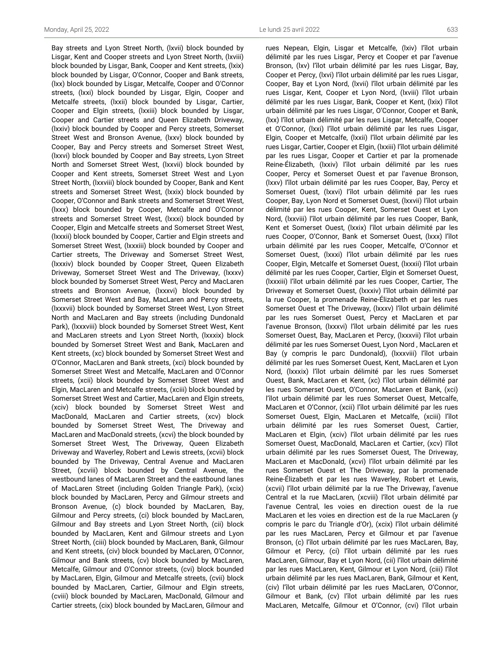Bay streets and Lyon Street North, (lxvii) block bounded by Lisgar, Kent and Cooper streets and Lyon Street North, (lxviii) block bounded by Lisgar, Bank, Cooper and Kent streets, (lxix) block bounded by Lisgar, O'Connor, Cooper and Bank streets, (lxx) block bounded by Lisgar, Metcalfe, Cooper and O'Connor streets, (lxxi) block bounded by Lisgar, Elgin, Cooper and Metcalfe streets, (lxxii) block bounded by Lisgar, Cartier, Cooper and Elgin streets, (lxxiii) block bounded by Lisgar, Cooper and Cartier streets and Queen Elizabeth Driveway, (lxxiv) block bounded by Cooper and Percy streets, Somerset Street West and Bronson Avenue, (lxxv) block bounded by Cooper, Bay and Percy streets and Somerset Street West, (lxxvi) block bounded by Cooper and Bay streets, Lyon Street North and Somerset Street West, (lxxvii) block bounded by Cooper and Kent streets, Somerset Street West and Lyon Street North, (lxxviii) block bounded by Cooper, Bank and Kent streets and Somerset Street West, (lxxix) block bounded by Cooper, O'Connor and Bank streets and Somerset Street West, (lxxx) block bounded by Cooper, Metcalfe and O'Connor streets and Somerset Street West, (lxxxi) block bounded by Cooper, Elgin and Metcalfe streets and Somerset Street West, (lxxxii) block bounded by Cooper, Cartier and Elgin streets and Somerset Street West, (lxxxiii) block bounded by Cooper and Cartier streets, The Driveway and Somerset Street West, (lxxxiv) block bounded by Cooper Street, Queen Elizabeth Driveway, Somerset Street West and The Driveway, (lxxxv) block bounded by Somerset Street West, Percy and MacLaren streets and Bronson Avenue, (lxxxvi) block bounded by Somerset Street West and Bay, MacLaren and Percy streets, (lxxxvii) block bounded by Somerset Street West, Lyon Street North and MacLaren and Bay streets (including Dundonald Park), (lxxxviii) block bounded by Somerset Street West, Kent and MacLaren streets and Lyon Street North, (lxxxix) block bounded by Somerset Street West and Bank, MacLaren and Kent streets, (xc) block bounded by Somerset Street West and O'Connor, MacLaren and Bank streets, (xci) block bounded by Somerset Street West and Metcalfe, MacLaren and O'Connor streets, (xcii) block bounded by Somerset Street West and Elgin, MacLaren and Metcalfe streets, (xciii) block bounded by Somerset Street West and Cartier, MacLaren and Elgin streets, (xciv) block bounded by Somerset Street West and MacDonald, MacLaren and Cartier streets, (xcv) block bounded by Somerset Street West, The Driveway and MacLaren and MacDonald streets, (xcvi) the block bounded by Somerset Street West, The Driveway, Queen Elizabeth Driveway and Waverley, Robert and Lewis streets, (xcvii) block bounded by The Driveway, Central Avenue and MacLaren Street, (xcviii) block bounded by Central Avenue, the westbound lanes of MacLaren Street and the eastbound lanes of MacLaren Street (including Golden Triangle Park), (xcix) block bounded by MacLaren, Percy and Gilmour streets and Bronson Avenue, (c) block bounded by MacLaren, Bay, Gilmour and Percy streets, (ci) block bounded by MacLaren, Gilmour and Bay streets and Lyon Street North, (cii) block bounded by MacLaren, Kent and Gilmour streets and Lyon Street North, (ciii) block bounded by MacLaren, Bank, Gilmour and Kent streets, (civ) block bounded by MacLaren, O'Connor, Gilmour and Bank streets, (cv) block bounded by MacLaren, Metcalfe, Gilmour and O'Connor streets, (cvi) block bounded by MacLaren, Elgin, Gilmour and Metcalfe streets, (cvii) block bounded by MacLaren, Cartier, Gilmour and Elgin streets, (cviii) block bounded by MacLaren, MacDonald, Gilmour and Cartier streets, (cix) block bounded by MacLaren, Gilmour and

rues Nepean, Elgin, Lisgar et Metcalfe, (lxiv) l'îlot urbain délimité par les rues Lisgar, Percy et Cooper et par l'avenue Bronson, (lxv) l'îlot urbain délimité par les rues Lisgar, Bay, Cooper et Percy, (lxvi) l'îlot urbain délimité par les rues Lisgar, Cooper, Bay et Lyon Nord, (lxvii) l'îlot urbain délimité par les rues Lisgar, Kent, Cooper et Lyon Nord, (lxviii) l'îlot urbain délimité par les rues Lisgar, Bank, Cooper et Kent, (lxix) l'îlot urbain délimité par les rues Lisgar, O'Connor, Cooper et Bank, (lxx) l'îlot urbain délimité par les rues Lisgar, Metcalfe, Cooper et O'Connor, (lxxi) l'îlot urbain délimité par les rues Lisgar, Elgin, Cooper et Metcalfe, (lxxii) l'îlot urbain délimité par les rues Lisgar, Cartier, Cooper et Elgin, (lxxiii) l'îlot urbain délimité par les rues Lisgar, Cooper et Cartier et par la promenade Reine-Élizabeth, (lxxiv) l'îlot urbain délimité par les rues Cooper, Percy et Somerset Ouest et par l'avenue Bronson, (lxxv) l'îlot urbain délimité par les rues Cooper, Bay, Percy et Somerset Ouest, (lxxvi) l'îlot urbain délimité par les rues Cooper, Bay, Lyon Nord et Somerset Ouest, (lxxvii) l'îlot urbain délimité par les rues Cooper, Kent, Somerset Ouest et Lyon Nord, (lxxviii) l'îlot urbain délimité par les rues Cooper, Bank, Kent et Somerset Ouest, (lxxix) l'îlot urbain délimité par les rues Cooper, O'Connor, Bank et Somerset Ouest, (lxxx) l'îlot urbain délimité par les rues Cooper, Metcalfe, O'Connor et Somerset Ouest, (lxxxi) l'îlot urbain délimité par les rues Cooper, Elgin, Metcalfe et Somerset Ouest, (lxxxii) l'îlot urbain délimité par les rues Cooper, Cartier, Elgin et Somerset Ouest, (lxxxiii) l'îlot urbain délimité par les rues Cooper, Cartier, The Driveway et Somerset Ouest, (lxxxiv) l'îlot urbain délimité par la rue Cooper, la promenade Reine-Élizabeth et par les rues Somerset Ouest et The Driveway, (lxxxv) l'îlot urbain délimité par les rues Somerset Ouest, Percy et MacLaren et par l'avenue Bronson, (lxxxvi) l'îlot urbain délimité par les rues Somerset Ouest, Bay, MacLaren et Percy, (lxxxvii) l'îlot urbain délimité par les rues Somerset Ouest, Lyon Nord , MacLaren et Bay (y compris le parc Dundonald), (lxxxviii) l'îlot urbain délimité par les rues Somerset Ouest, Kent, MacLaren et Lyon Nord, (lxxxix) l'îlot urbain délimité par les rues Somerset Ouest, Bank, MacLaren et Kent, (xc) l'îlot urbain délimité par les rues Somerset Ouest, O'Connor, MacLaren et Bank, (xci) l'îlot urbain délimité par les rues Somerset Ouest, Metcalfe, MacLaren et O'Connor, (xcii) l'îlot urbain délimité par les rues Somerset Ouest, Elgin, MacLaren et Metcalfe, (xciii) l'îlot urbain délimité par les rues Somerset Ouest, Cartier, MacLaren et Elgin, (xciv) l'îlot urbain délimité par les rues Somerset Ouest, MacDonald, MacLaren et Cartier, (xcv) l'îlot urbain délimité par les rues Somerset Ouest, The Driveway, MacLaren et MacDonald, (xcvi) l'îlot urbain délimité par les rues Somerset Ouest et The Driveway, par la promenade Reine-Élizabeth et par les rues Waverley, Robert et Lewis, (xcvii) l'îlot urbain délimité par la rue The Driveway, l'avenue Central et la rue MacLaren, (xcviii) l'îlot urbain délimité par l'avenue Central, les voies en direction ouest de la rue MacLaren et les voies en direction est de la rue MacLaren (y compris le parc du Triangle d'Or), (xcix) l'îlot urbain délimité par les rues MacLaren, Percy et Gilmour et par l'avenue Bronson, (c) l'îlot urbain délimité par les rues MacLaren, Bay, Gilmour et Percy, (ci) l'îlot urbain délimité par les rues MacLaren, Gilmour, Bay et Lyon Nord, (cii) l'îlot urbain délimité par les rues MacLaren, Kent, Gilmour et Lyon Nord, (ciii) l'îlot urbain délimité par les rues MacLaren, Bank, Gilmour et Kent, (civ) l'îlot urbain délimité par les rues MacLaren, O'Connor, Gilmour et Bank, (cv) l'îlot urbain délimité par les rues MacLaren, Metcalfe, Gilmour et O'Connor, (cvi) l'îlot urbain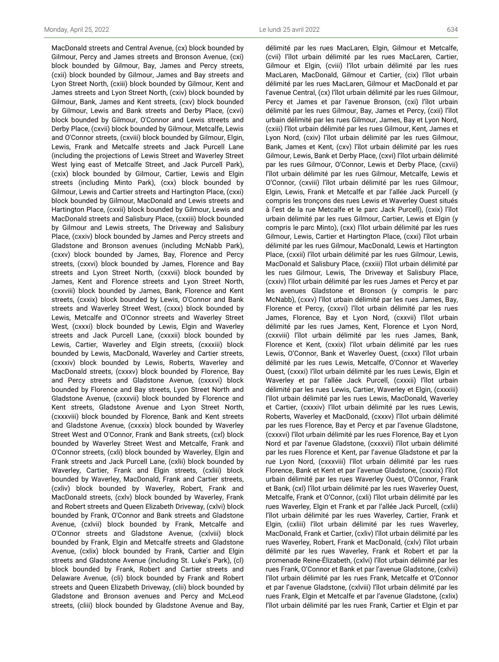MacDonald streets and Central Avenue, (cx) block bounded by Gilmour, Percy and James streets and Bronson Avenue, (cxi) block bounded by Gilmour, Bay, James and Percy streets, (cxii) block bounded by Gilmour, James and Bay streets and Lyon Street North, (cxiii) block bounded by Gilmour, Kent and James streets and Lyon Street North, (cxiv) block bounded by Gilmour, Bank, James and Kent streets, (cxv) block bounded by Gilmour, Lewis and Bank streets and Derby Place, (cxvi) block bounded by Gilmour, O'Connor and Lewis streets and Derby Place, (cxvii) block bounded by Gilmour, Metcalfe, Lewis and O'Connor streets, (cxviii) block bounded by Gilmour, Elgin, Lewis, Frank and Metcalfe streets and Jack Purcell Lane (including the projections of Lewis Street and Waverley Street West lying east of Metcalfe Street, and Jack Purcell Park), (cxix) block bounded by Gilmour, Cartier, Lewis and Elgin streets (including Minto Park), (cxx) block bounded by Gilmour, Lewis and Cartier streets and Hartington Place, (cxxi) block bounded by Gilmour, MacDonald and Lewis streets and Hartington Place, (cxxii) block bounded by Gilmour, Lewis and MacDonald streets and Salisbury Place, (cxxiii) block bounded by Gilmour and Lewis streets, The Driveway and Salisbury Place, (cxxiv) block bounded by James and Percy streets and Gladstone and Bronson avenues (including McNabb Park), (cxxv) block bounded by James, Bay, Florence and Percy streets, (cxxvi) block bounded by James, Florence and Bay streets and Lyon Street North, (cxxvii) block bounded by James, Kent and Florence streets and Lyon Street North, (cxxviii) block bounded by James, Bank, Florence and Kent streets, (cxxix) block bounded by Lewis, O'Connor and Bank streets and Waverley Street West, (cxxx) block bounded by Lewis, Metcalfe and O'Connor streets and Waverley Street West, (cxxxi) block bounded by Lewis, Elgin and Waverley streets and Jack Purcell Lane, (cxxxii) block bounded by Lewis, Cartier, Waverley and Elgin streets, (cxxxiii) block bounded by Lewis, MacDonald, Waverley and Cartier streets, (cxxxiv) block bounded by Lewis, Roberts, Waverley and MacDonald streets, (cxxxv) block bounded by Florence, Bay and Percy streets and Gladstone Avenue, (cxxxvi) block bounded by Florence and Bay streets, Lyon Street North and Gladstone Avenue, (cxxxvii) block bounded by Florence and Kent streets, Gladstone Avenue and Lyon Street North, (cxxxviii) block bounded by Florence, Bank and Kent streets and Gladstone Avenue, (cxxxix) block bounded by Waverley Street West and O'Connor, Frank and Bank streets, (cxl) block bounded by Waverley Street West and Metcalfe, Frank and O'Connor streets, (cxli) block bounded by Waverley, Elgin and Frank streets and Jack Purcell Lane, (cxlii) block bounded by Waverley, Cartier, Frank and Elgin streets, (cxliii) block bounded by Waverley, MacDonald, Frank and Cartier streets, (cxliv) block bounded by Waverley, Robert, Frank and MacDonald streets, (cxlv) block bounded by Waverley, Frank and Robert streets and Queen Elizabeth Driveway, (cxlvi) block bounded by Frank, O'Connor and Bank streets and Gladstone Avenue, (cxlvii) block bounded by Frank, Metcalfe and O'Connor streets and Gladstone Avenue, (cxlviii) block bounded by Frank, Elgin and Metcalfe streets and Gladstone Avenue, (cxlix) block bounded by Frank, Cartier and Elgin streets and Gladstone Avenue (including St. Luke's Park), (cl) block bounded by Frank, Robert and Cartier streets and Delaware Avenue, (cli) block bounded by Frank and Robert streets and Queen Elizabeth Driveway, (clii) block bounded by Gladstone and Bronson avenues and Percy and McLeod streets, (cliii) block bounded by Gladstone Avenue and Bay,

délimité par les rues MacLaren, Elgin, Gilmour et Metcalfe, (cvii) l'îlot urbain délimité par les rues MacLaren, Cartier, Gilmour et Elgin, (cviii) l'îlot urbain délimité par les rues MacLaren, MacDonald, Gilmour et Cartier, (cix) l'îlot urbain délimité par les rues MacLaren, Gilmour et MacDonald et par l'avenue Central, (cx) l'îlot urbain délimité par les rues Gilmour, Percy et James et par l'avenue Bronson, (cxi) l'îlot urbain délimité par les rues Gilmour, Bay, James et Percy, (cxii) l'îlot urbain délimité par les rues Gilmour, James, Bay et Lyon Nord, (cxiii) l'îlot urbain délimité par les rues Gilmour, Kent, James et Lyon Nord, (cxiv) l'îlot urbain délimité par les rues Gilmour, Bank, James et Kent, (cxv) l'îlot urbain délimité par les rues Gilmour, Lewis, Bank et Derby Place, (cxvi) l'îlot urbain délimité par les rues Gilmour, O'Connor, Lewis et Derby Place, (cxvii) l'îlot urbain délimité par les rues Gilmour, Metcalfe, Lewis et O'Connor, (cxviii) l'îlot urbain délimité par les rues Gilmour, Elgin, Lewis, Frank et Metcalfe et par l'allée Jack Purcell (y compris les tronçons des rues Lewis et Waverley Ouest situés à l'est de la rue Metcalfe et le parc Jack Purcell), (cxix) l'îlot urbain délimité par les rues Gilmour, Cartier, Lewis et Elgin (y compris le parc Minto), (cxx) l'îlot urbain délimité par les rues Gilmour, Lewis, Cartier et Hartington Place, (cxxi) l'îlot urbain délimité par les rues Gilmour, MacDonald, Lewis et Hartington Place, (cxxii) l'îlot urbain délimité par les rues Gilmour, Lewis, MacDonald et Salisbury Place, (cxxiii) l'îlot urbain délimité par les rues Gilmour, Lewis, The Driveway et Salisbury Place, (cxxiv) l'îlot urbain délimité par les rues James et Percy et par les avenues Gladstone et Bronson (y compris le parc McNabb), (cxxv) l'îlot urbain délimité par les rues James, Bay, Florence et Percy, (cxxvi) l'îlot urbain délimité par les rues James, Florence, Bay et Lyon Nord, (cxxvii) l'îlot urbain délimité par les rues James, Kent, Florence et Lyon Nord, (cxxviii) l'îlot urbain délimité par les rues James, Bank, Florence et Kent, (cxxix) l'îlot urbain délimité par les rues Lewis, O'Connor, Bank et Waverley Ouest, (cxxx) l'îlot urbain délimité par les rues Lewis, Metcalfe, O'Connor et Waverley Ouest, (cxxxi) l'îlot urbain délimité par les rues Lewis, Elgin et Waverley et par l'allée Jack Purcell, (cxxxii) l'îlot urbain délimité par les rues Lewis, Cartier, Waverley et Elgin, (cxxxiii) l'îlot urbain délimité par les rues Lewis, MacDonald, Waverley et Cartier, (cxxxiv) l'îlot urbain délimité par les rues Lewis, Roberts, Waverley et MacDonald, (cxxxv) l'îlot urbain délimité par les rues Florence, Bay et Percy et par l'avenue Gladstone, (cxxxvi) l'îlot urbain délimité par les rues Florence, Bay et Lyon Nord et par l'avenue Gladstone, (cxxxvii) l'îlot urbain délimité par les rues Florence et Kent, par l'avenue Gladstone et par la rue Lyon Nord, (cxxxviii) l'îlot urbain délimité par les rues Florence, Bank et Kent et par l'avenue Gladstone, (cxxxix) l'îlot urbain délimité par les rues Waverley Ouest, O'Connor, Frank et Bank, (cxl) l'îlot urbain délimité par les rues Waverley Ouest, Metcalfe, Frank et O'Connor, (cxli) l'îlot urbain délimité par les rues Waverley, Elgin et Frank et par l'allée Jack Purcell, (cxlii) l'îlot urbain délimité par les rues Waverley, Cartier, Frank et Elgin, (cxliii) l'îlot urbain délimité par les rues Waverley, MacDonald, Frank et Cartier, (cxliv) l'îlot urbain délimité par les rues Waverley, Robert, Frank et MacDonald, (cxlv) l'îlot urbain délimité par les rues Waverley, Frank et Robert et par la promenade Reine-Élizabeth, (cxlvi) l'îlot urbain délimité par les rues Frank, O'Connor et Bank et par l'avenue Gladstone, (cxlvii) l'îlot urbain délimité par les rues Frank, Metcalfe et O'Connor et par l'avenue Gladstone, (cxlviii) l'îlot urbain délimité par les rues Frank, Elgin et Metcalfe et par l'avenue Gladstone, (cxlix) l'îlot urbain délimité par les rues Frank, Cartier et Elgin et par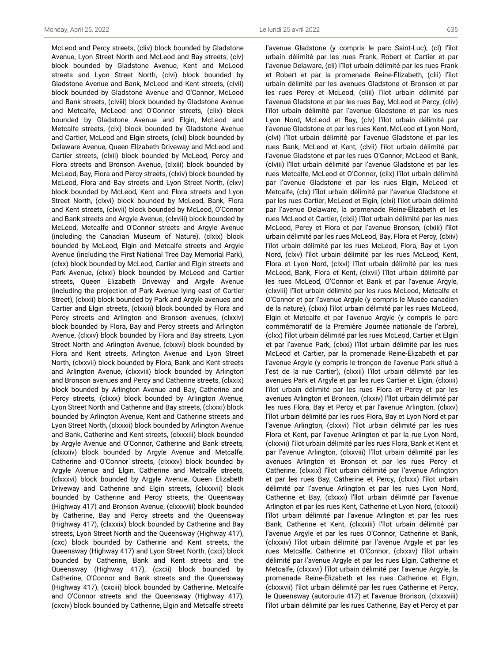McLeod and Percy streets, (cliv) block bounded by Gladstone Avenue, Lyon Street North and McLeod and Bay streets, (clv) block bounded by Gladstone Avenue, Kent and McLeod streets and Lyon Street North, (clvi) block bounded by Gladstone Avenue and Bank, McLeod and Kent streets, (clvii) block bounded by Gladstone Avenue and O'Connor, McLeod and Bank streets, (clviii) block bounded by Gladstone Avenue and Metcalfe, McLeod and O'Connor streets, (clix) block bounded by Gladstone Avenue and Elgin, McLeod and Metcalfe streets, (clx) block bounded by Gladstone Avenue and Cartier, McLeod and Elgin streets, (clxi) block bounded by Delaware Avenue, Queen Elizabeth Driveway and McLeod and Cartier streets, (clxii) block bounded by McLeod, Percy and Flora streets and Bronson Avenue, (clxiii) block bounded by McLeod, Bay, Flora and Percy streets, (clxiv) block bounded by McLeod, Flora and Bay streets and Lyon Street North, (clxv) block bounded by McLeod, Kent and Flora streets and Lyon Street North, (clxvi) block bounded by McLeod, Bank, Flora and Kent streets, (clxvii) block bounded by McLeod, O'Connor and Bank streets and Argyle Avenue, (clxviii) block bounded by McLeod, Metcalfe and O'Connor streets and Argyle Avenue (including the Canadian Museum of Nature), (clxix) block bounded by McLeod, Elgin and Metcalfe streets and Argyle Avenue (including the First National Tree Day Memorial Park), (clxx) block bounded by McLeod, Cartier and Elgin streets and Park Avenue, (clxxi) block bounded by McLeod and Cartier streets, Queen Elizabeth Driveway and Argyle Avenue (including the projection of Park Avenue lying east of Cartier Street), (clxxii) block bounded by Park and Argyle avenues and Cartier and Elgin streets, (clxxiii) block bounded by Flora and Percy streets and Arlington and Bronson avenues, (clxxiv) block bounded by Flora, Bay and Percy streets and Arlington Avenue, (clxxv) block bounded by Flora and Bay streets, Lyon Street North and Arlington Avenue, (clxxvi) block bounded by Flora and Kent streets, Arlington Avenue and Lyon Street North, (clxxvii) block bounded by Flora, Bank and Kent streets and Arlington Avenue, (clxxviii) block bounded by Arlington and Bronson avenues and Percy and Catherine streets, (clxxix) block bounded by Arlington Avenue and Bay, Catherine and Percy streets, (clxxx) block bounded by Arlington Avenue, Lyon Street North and Catherine and Bay streets, (clxxxi) block bounded by Arlington Avenue, Kent and Catherine streets and Lyon Street North, (clxxxii) block bounded by Arlington Avenue and Bank, Catherine and Kent streets, (clxxxiii) block bounded by Argyle Avenue and O'Connor, Catherine and Bank streets, (clxxxiv) block bounded by Argyle Avenue and Metcalfe, Catherine and O'Connor streets, (clxxxv) block bounded by Argyle Avenue and Elgin, Catherine and Metcalfe streets, (clxxxvi) block bounded by Argyle Avenue, Queen Elizabeth Driveway and Catherine and Elgin streets, (clxxxvii) block bounded by Catherine and Percy streets, the Queensway (Highway 417) and Bronson Avenue, (clxxxviii) block bounded by Catherine, Bay and Percy streets and the Queensway (Highway 417), (clxxxix) block bounded by Catherine and Bay streets, Lyon Street North and the Queensway (Highway 417), (cxc) block bounded by Catherine and Kent streets, the Queensway (Highway 417) and Lyon Street North, (cxci) block bounded by Catherine, Bank and Kent streets and the Queensway (Highway 417), (cxcii) block bounded by Catherine, O'Connor and Bank streets and the Queensway (Highway 417), (cxciii) block bounded by Catherine, Metcalfe and O'Connor streets and the Queensway (Highway 417), (cxciv) block bounded by Catherine, Elgin and Metcalfe streets

l'avenue Gladstone (y compris le parc Saint-Luc), (cl) l'îlot urbain délimité par les rues Frank, Robert et Cartier et par l'avenue Delaware, (cli) l'îlot urbain délimité par les rues Frank et Robert et par la promenade Reine-Élizabeth, (clii) l'îlot urbain délimité par les avenues Gladstone et Bronson et par les rues Percy et McLeod, (cliii) l'îlot urbain délimité par l'avenue Gladstone et par les rues Bay, McLeod et Percy, (cliv) l'îlot urbain délimité par l'avenue Gladstone et par les rues Lyon Nord, McLeod et Bay, (clv) l'îlot urbain délimité par l'avenue Gladstone et par les rues Kent, McLeod et Lyon Nord, (clvi) l'îlot urbain délimité par l'avenue Gladstone et par les rues Bank, McLeod et Kent, (clvii) l'îlot urbain délimité par l'avenue Gladstone et par les rues O'Connor, McLeod et Bank, (clviii) l'îlot urbain délimité par l'avenue Gladstone et par les rues Metcalfe, McLeod et O'Connor, (clix) l'îlot urbain délimité par l'avenue Gladstone et par les rues Elgin, McLeod et Metcalfe, (clx) l'îlot urbain délimité par l'avenue Gladstone et par les rues Cartier, McLeod et Elgin, (clxi) l'îlot urbain délimité par l'avenue Delaware, la promenade Reine-Élizabeth et les rues McLeod et Cartier, (clxii) l'îlot urbain délimité par les rues McLeod, Percy et Flora et par l'avenue Bronson, (clxiii) l'îlot urbain délimité par les rues McLeod, Bay, Flora et Percy, (clxiv) l'îlot urbain délimité par les rues McLeod, Flora, Bay et Lyon Nord, (clxv) l'îlot urbain délimité par les rues McLeod, Kent, Flora et Lyon Nord, (clxvi) l'îlot urbain délimité par les rues McLeod, Bank, Flora et Kent, (clxvii) l'îlot urbain délimité par les rues McLeod, O'Connor et Bank et par l'avenue Argyle, (clxviii) l'îlot urbain délimité par les rues McLeod, Metcalfe et O'Connor et par l'avenue Argyle (y compris le Musée canadien de la nature), (clxix) l'îlot urbain délimité par les rues McLeod, Elgin et Metcalfe et par l'avenue Argyle (y compris le parc commémoratif de la Première Journée nationale de l'arbre), (clxx) l'îlot urbain délimité par les rues McLeod, Cartier et Elgin et par l'avenue Park, (clxxi) l'îlot urbain délimité par les rues McLeod et Cartier, par la promenade Reine-Élizabeth et par l'avenue Argyle (y compris le tronçon de l'avenue Park situé à l'est de la rue Cartier), (clxxii) l'îlot urbain délimité par les avenues Park et Argyle et par les rues Cartier et Elgin, (clxxiii) l'îlot urbain délimité par les rues Flora et Percy et par les avenues Arlington et Bronson, (clxxiv) l'îlot urbain délimité par les rues Flora, Bay et Percy et par l'avenue Arlington, (clxxv) l'îlot urbain délimité par les rues Flora, Bay et Lyon Nord et par l'avenue Arlington, (clxxvi) l'îlot urbain délimité par les rues Flora et Kent, par l'avenue Arlington et par la rue Lyon Nord, (clxxvii) l'îlot urbain délimité par les rues Flora, Bank et Kent et par l'avenue Arlington, (clxxviii) l'îlot urbain délimité par les avenues Arlington et Bronson et par les rues Percy et Catherine, (clxxix) l'îlot urbain délimité par l'avenue Arlington et par les rues Bay, Catherine et Percy, (clxxx) l'îlot urbain délimité par l'avenue Arlington et par les rues Lyon Nord, Catherine et Bay, (clxxxi) l'îlot urbain délimité par l'avenue Arlington et par les rues Kent, Catherine et Lyon Nord, (clxxxii) l'îlot urbain délimité par l'avenue Arlington et par les rues Bank, Catherine et Kent, (clxxxiii) l'îlot urbain délimité par l'avenue Argyle et par les rues O'Connor, Catherine et Bank, (clxxxiv) l'îlot urbain délimité par l'avenue Argyle et par les rues Metcalfe, Catherine et O'Connor, (clxxxv) l'îlot urbain délimité par l'avenue Argyle et par les rues Elgin, Catherine et Metcalfe, (clxxxvi) l'îlot urbain délimité par l'avenue Argyle, la promenade Reine-Élizabeth et les rues Catherine et Elgin, (clxxxvii) l'îlot urbain délimité par les rues Catherine et Percy, le Queensway (autoroute 417) et l'avenue Bronson, (clxxxviii) l'îlot urbain délimité par les rues Catherine, Bay et Percy et par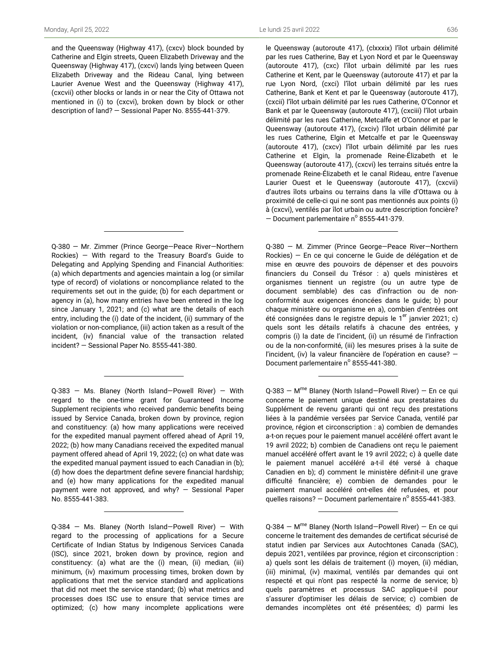and the Queensway (Highway 417), (cxcv) block bounded by Catherine and Elgin streets, Queen Elizabeth Driveway and the Queensway (Highway 417), (cxcvi) lands lying between Queen Elizabeth Driveway and the Rideau Canal, lying between Laurier Avenue West and the Queensway (Highway 417), (cxcvii) other blocks or lands in or near the City of Ottawa not mentioned in (i) to (cxcvi), broken down by block or other description of land? — Sessional Paper No. 8555-441-379.

Q-380 — Mr. Zimmer (Prince George—Peace River—Northern Rockies) — With regard to the Treasury Board's Guide to Delegating and Applying Spending and Financial Authorities: (a) which departments and agencies maintain a log (or similar type of record) of violations or noncompliance related to the requirements set out in the guide; (b) for each department or agency in (a), how many entries have been entered in the log since January 1, 2021; and (c) what are the details of each entry, including the (i) date of the incident, (ii) summary of the violation or non-compliance, (iii) action taken as a result of the incident, (iv) financial value of the transaction related incident? — Sessional Paper No. 8555-441-380.

Q-383 — Ms. Blaney (North Island—Powell River) — With regard to the one-time grant for Guaranteed Income Supplement recipients who received pandemic benefits being issued by Service Canada, broken down by province, region and constituency: (a) how many applications were received for the expedited manual payment offered ahead of April 19, 2022; (b) how many Canadians received the expedited manual payment offered ahead of April 19, 2022; (c) on what date was the expedited manual payment issued to each Canadian in (b); (d) how does the department define severe financial hardship; and (e) how many applications for the expedited manual payment were not approved, and why? — Sessional Paper No. 8555-441-383.

Q-384 — Ms. Blaney (North Island—Powell River) — With regard to the processing of applications for a Secure Certificate of Indian Status by Indigenous Services Canada (ISC), since 2021, broken down by province, region and constituency: (a) what are the (i) mean, (ii) median, (iii) minimum, (iv) maximum processing times, broken down by applications that met the service standard and applications that did not meet the service standard; (b) what metrics and processes does ISC use to ensure that service times are optimized; (c) how many incomplete applications were le Queensway (autoroute 417), (clxxxix) l'îlot urbain délimité par les rues Catherine, Bay et Lyon Nord et par le Queensway (autoroute 417), (cxc) l'îlot urbain délimité par les rues Catherine et Kent, par le Queensway (autoroute 417) et par la rue Lyon Nord, (cxci) l'îlot urbain délimité par les rues Catherine, Bank et Kent et par le Queensway (autoroute 417), (cxcii) l'îlot urbain délimité par les rues Catherine, O'Connor et Bank et par le Queensway (autoroute 417), (cxciii) l'îlot urbain délimité par les rues Catherine, Metcalfe et O'Connor et par le Queensway (autoroute 417), (cxciv) l'îlot urbain délimité par les rues Catherine, Elgin et Metcalfe et par le Queensway (autoroute 417), (cxcv) l'îlot urbain délimité par les rues Catherine et Elgin, la promenade Reine-Élizabeth et le Queensway (autoroute 417), (cxcvi) les terrains situés entre la promenade Reine-Élizabeth et le canal Rideau, entre l'avenue Laurier Ouest et le Queensway (autoroute 417), (cxcvii) d'autres îlots urbains ou terrains dans la ville d'Ottawa ou à proximité de celle-ci qui ne sont pas mentionnés aux points (i) à (cxcvi), ventilés par îlot urbain ou autre description foncière?  $-$  Document parlementaire n° 8555-441-379.

Q-380 — M. Zimmer (Prince George—Peace River—Northern Rockies) — En ce qui concerne le Guide de délégation et de mise en œuvre des pouvoirs de dépenser et des pouvoirs financiers du Conseil du Trésor : a) quels ministères et organismes tiennent un registre (ou un autre type de document semblable) des cas d'infraction ou de nonconformité aux exigences énoncées dans le guide; b) pour chaque ministère ou organisme en a), combien d'entrées ont été consignées dans le registre depuis le  $1<sup>er</sup>$  janvier 2021; c) quels sont les détails relatifs à chacune des entrées, y compris (i) la date de l'incident, (ii) un résumé de l'infraction ou de la non-conformité, (iii) les mesures prises à la suite de l'incident, (iv) la valeur financière de l'opération en cause? — Document parlementaire nº 8555-441-380.

Q-383 - M<sup>me</sup> Blaney (North Island-Powell River) - En ce qui concerne le paiement unique destiné aux prestataires du Supplément de revenu garanti qui ont reçu des prestations liées à la pandémie versées par Service Canada, ventilé par province, région et circonscription : a) combien de demandes a-t-on reçues pour le paiement manuel accéléré offert avant le 19 avril 2022; b) combien de Canadiens ont reçu le paiement manuel accéléré offert avant le 19 avril 2022; c) à quelle date le paiement manuel accéléré a-t-il été versé à chaque Canadien en b); d) comment le ministère définit-il une grave difficulté financière; e) combien de demandes pour le paiement manuel accéléré ont-elles été refusées, et pour quelles raisons?  $-$  Document parlementaire n° 8555-441-383.

Q-384 – M<sup>me</sup> Blaney (North Island–Powell River) – En ce qui concerne le traitement des demandes de certificat sécurisé de statut indien par Services aux Autochtones Canada (SAC), depuis 2021, ventilées par province, région et circonscription : a) quels sont les délais de traitement (i) moyen, (ii) médian, (iii) minimal, (iv) maximal, ventilés par demandes qui ont respecté et qui n'ont pas respecté la norme de service; b) quels paramètres et processus SAC applique-t-il pour s'assurer d'optimiser les délais de service; c) combien de demandes incomplètes ont été présentées; d) parmi les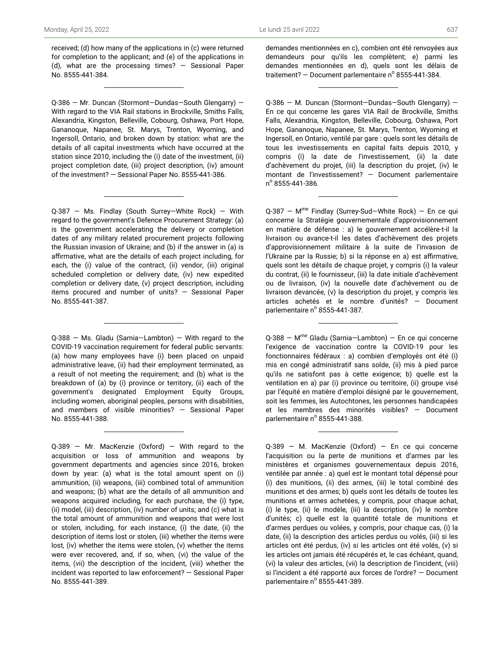received; (d) how many of the applications in (c) were returned for completion to the applicant; and (e) of the applications in (d), what are the processing times? — Sessional Paper No. 8555-441-384.

Q-386 — Mr. Duncan (Stormont—Dundas—South Glengarry) — With regard to the VIA Rail stations in Brockville, Smiths Falls, Alexandria, Kingston, Belleville, Cobourg, Oshawa, Port Hope, Gananoque, Napanee, St. Marys, Trenton, Wyoming, and Ingersoll, Ontario, and broken down by station: what are the details of all capital investments which have occurred at the station since 2010, including the (i) date of the investment, (ii) project completion date, (iii) project description, (iv) amount of the investment? — Sessional Paper No. 8555-441-386.

Q-387 — Ms. Findlay (South Surrey—White Rock) — With regard to the government's Defence Procurement Strategy: (a) is the government accelerating the delivery or completion dates of any military related procurement projects following the Russian invasion of Ukraine; and (b) if the answer in (a) is affirmative, what are the details of each project including, for each, the (i) value of the contract, (ii) vendor, (iii) original scheduled completion or delivery date, (iv) new expedited completion or delivery date, (v) project description, including items procured and number of units? — Sessional Paper No. 8555-441-387.

 $Q-388$  – Ms. Gladu (Sarnia–Lambton) – With regard to the COVID-19 vaccination requirement for federal public servants: (a) how many employees have (i) been placed on unpaid administrative leave, (ii) had their employment terminated, as a result of not meeting the requirement; and (b) what is the breakdown of (a) by (i) province or territory, (ii) each of the government's designated Employment Equity Groups, including women, aboriginal peoples, persons with disabilities, and members of visible minorities? — Sessional Paper No. 8555-441-388.

 $Q-389$  – Mr. MacKenzie (Oxford) – With regard to the acquisition or loss of ammunition and weapons by government departments and agencies since 2016, broken down by year: (a) what is the total amount spent on (i) ammunition, (ii) weapons, (iii) combined total of ammunition and weapons; (b) what are the details of all ammunition and weapons acquired including, for each purchase, the (i) type, (ii) model, (iii) description, (iv) number of units; and (c) what is the total amount of ammunition and weapons that were lost or stolen, including, for each instance, (i) the date, (ii) the description of items lost or stolen, (iii) whether the items were lost, (iv) whether the items were stolen, (v) whether the items were ever recovered, and, if so, when, (vi) the value of the items, (vii) the description of the incident, (viii) whether the incident was reported to law enforcement? — Sessional Paper No. 8555-441-389.

demandes mentionnées en c), combien ont été renvoyées aux demandeurs pour qu'ils les complètent; e) parmi les demandes mentionnées en d), quels sont les délais de traitement? – Document parlementaire n<sup>o</sup> 8555-441-384.

Q-386 — M. Duncan (Stormont—Dundas—South Glengarry) — En ce qui concerne les gares VIA Rail de Brockville, Smiths Falls, Alexandria, Kingston, Belleville, Cobourg, Oshawa, Port Hope, Gananoque, Napanee, St. Marys, Trenton, Wyoming et Ingersoll, en Ontario, ventilé par gare : quels sont les détails de tous les investissements en capital faits depuis 2010, y compris (i) la date de l'investissement, (ii) la date d'achèvement du projet, (iii) la description du projet, (iv) le montant de l'investissement? — Document parlementaire n<sup>o</sup> 8555-441-386.

Q-387 - M<sup>me</sup> Findlay (Surrey-Sud-White Rock) - En ce qui concerne la Stratégie gouvernementale d'approvisionnement en matière de défense : a) le gouvernement accélère-t-il la livraison ou avance-t-il les dates d'achèvement des projets d'approvisionnement militaire à la suite de l'invasion de l'Ukraine par la Russie; b) si la réponse en a) est affirmative, quels sont les détails de chaque projet, y compris (i) la valeur du contrat, (ii) le fournisseur, (iii) la date initiale d'achèvement ou de livraison, (iv) la nouvelle date d'achèvement ou de livraison devancée, (v) la description du projet, y compris les articles achetés et le nombre d'unités? — Document parlementaire nº 8555-441-387.

Q-388 - M<sup>me</sup> Gladu (Sarnia-Lambton) - En ce qui concerne l'exigence de vaccination contre la COVID-19 pour les fonctionnaires fédéraux : a) combien d'employés ont été (i) mis en congé administratif sans solde, (ii) mis à pied parce qu'ils ne satisfont pas à cette exigence; b) quelle est la ventilation en a) par (i) province ou territoire, (ii) groupe visé par l'équité en matière d'emploi désigné par le gouvernement, soit les femmes, les Autochtones, les personnes handicapées et les membres des minorités visibles? — Document parlementaire nº 8555-441-388.

Q-389 — M. MacKenzie (Oxford) — En ce qui concerne l'acquisition ou la perte de munitions et d'armes par les ministères et organismes gouvernementaux depuis 2016, ventilée par année : a) quel est le montant total dépensé pour (i) des munitions, (ii) des armes, (iii) le total combiné des munitions et des armes; b) quels sont les détails de toutes les munitions et armes achetées, y compris, pour chaque achat, (i) le type, (ii) le modèle, (iii) la description, (iv) le nombre d'unités; c) quelle est la quantité totale de munitions et d'armes perdues ou volées, y compris, pour chaque cas, (i) la date, (ii) la description des articles perdus ou volés, (iii) si les articles ont été perdus, (iv) si les articles ont été volés, (v) si les articles ont jamais été récupérés et, le cas échéant, quand, (vi) la valeur des articles, (vii) la description de l'incident, (viii) si l'incident a été rapporté aux forces de l'ordre? — Document parlementaire nº 8555-441-389.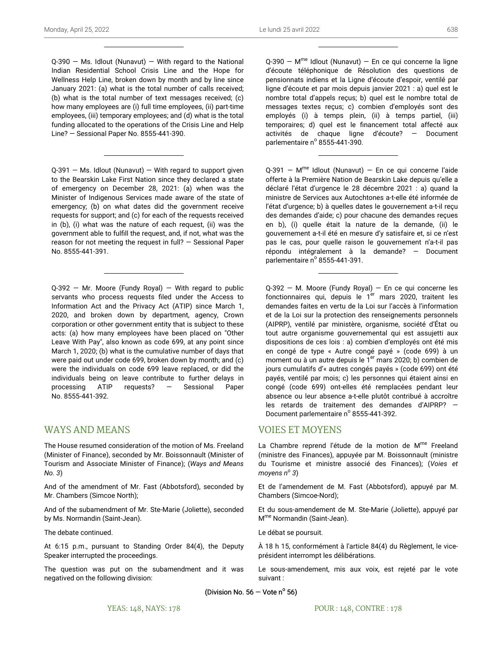$Q-390 - Ms.$  Idlout (Nunavut) – With regard to the National Indian Residential School Crisis Line and the Hope for Wellness Help Line, broken down by month and by line since January 2021: (a) what is the total number of calls received; (b) what is the total number of text messages received; (c) how many employees are (i) full time employees, (ii) part-time employees, (iii) temporary employees; and (d) what is the total funding allocated to the operations of the Crisis Line and Help Line? — Sessional Paper No. 8555-441-390.

 $Q-391$  – Ms. Idlout (Nunavut) – With regard to support given to the Bearskin Lake First Nation since they declared a state of emergency on December 28, 2021: (a) when was the Minister of Indigenous Services made aware of the state of emergency; (b) on what dates did the government receive requests for support; and (c) for each of the requests received in (b), (i) what was the nature of each request, (ii) was the government able to fulfill the request, and, if not, what was the reason for not meeting the request in full? — Sessional Paper No. 8555-441-391.

 $Q-392$  – Mr. Moore (Fundy Royal) – With regard to public servants who process requests filed under the Access to Information Act and the Privacy Act (ATIP) since March 1, 2020, and broken down by department, agency, Crown corporation or other government entity that is subject to these acts: (a) how many employees have been placed on "Other Leave With Pay", also known as code 699, at any point since March 1, 2020; (b) what is the cumulative number of days that were paid out under code 699, broken down by month; and (c) were the individuals on code 699 leave replaced, or did the individuals being on leave contribute to further delays in processing ATIP requests? — Sessional Paper No. 8555-441-392.

# WAYS AND MEANS

The House resumed consideration of the motion of Ms. Freeland (Minister of Finance), seconded by Mr. Boissonnault (Minister of Tourism and Associate Minister of Finance); (*Ways and Means No. 3*)

And of the amendment of Mr. Fast (Abbotsford), seconded by Mr. Chambers (Simcoe North);

And of the subamendment of Mr. Ste-Marie (Joliette), seconded by Ms. Normandin (Saint-Jean).

The debate continued.

At 6:15 p.m., pursuant to Standing Order 84(4), the Deputy Speaker interrupted the proceedings.

The question was put on the subamendment and it was negatived on the following division:

Q-390 - M<sup>me</sup> Idlout (Nunavut) - En ce qui concerne la ligne d'écoute téléphonique de Résolution des questions de pensionnats indiens et la Ligne d'écoute d'espoir, ventilé par ligne d'écoute et par mois depuis janvier 2021 : a) quel est le nombre total d'appels reçus; b) quel est le nombre total de messages textes reçus; c) combien d'employés sont des employés (i) à temps plein, (ii) à temps partiel, (iii) temporaires; d) quel est le financement total affecté aux activités de chaque ligne d'écoute? — Document parlementaire nº 8555-441-390.

Q-391 - M<sup>me</sup> Idlout (Nunavut) - En ce qui concerne l'aide offerte à la Première Nation de Bearskin Lake depuis qu'elle a déclaré l'état d'urgence le 28 décembre 2021 : a) quand la ministre de Services aux Autochtones a-t-elle été informée de l'état d'urgence; b) à quelles dates le gouvernement a-t-il reçu des demandes d'aide; c) pour chacune des demandes reçues en b), (i) quelle était la nature de la demande, (ii) le gouvernement a-t-il été en mesure d'y satisfaire et, si ce n'est pas le cas, pour quelle raison le gouvernement n'a-t-il pas répondu intégralement à la demande? — Document parlementaire nº 8555-441-391.

Q-392 — M. Moore (Fundy Royal) — En ce qui concerne les fonctionnaires qui, depuis le 1<sup>er</sup> mars 2020, traitent les demandes faites en vertu de la Loi sur l'accès à l'information et de la Loi sur la protection des renseignements personnels (AIPRP), ventilé par ministère, organisme, société d'État ou tout autre organisme gouvernemental qui est assujetti aux dispositions de ces lois : a) combien d'employés ont été mis en congé de type « Autre congé payé » (code 699) à un moment ou à un autre depuis le  $1<sup>er</sup>$  mars 2020; b) combien de jours cumulatifs d'« autres congés payés » (code 699) ont été payés, ventilé par mois; c) les personnes qui étaient ainsi en congé (code 699) ont-elles été remplacées pendant leur absence ou leur absence a-t-elle plutôt contribué à accroître les retards de traitement des demandes d'AIPRP? — Document parlementaire nº 8555-441-392.

# VOIES ET MOYENS

La Chambre reprend l'étude de la motion de M<sup>me</sup> Freeland (ministre des Finances), appuyée par M. Boissonnault (ministre du Tourisme et ministre associé des Finances); (*Voies et moyens n<sup>o</sup> 3*)

Et de l'amendement de M. Fast (Abbotsford), appuyé par M. Chambers (Simcoe-Nord);

Et du sous-amendement de M. Ste-Marie (Joliette), appuyé par M me Normandin (Saint-Jean).

Le débat se poursuit.

À 18 h 15, conformément à l'article 84(4) du Règlement, le viceprésident interrompt les délibérations.

Le sous-amendement, mis aux voix, est rejeté par le vote suivant :

(Division No.  $56 -$  Vote n<sup>o</sup> 56)

POUR : 148, CONTRE : 178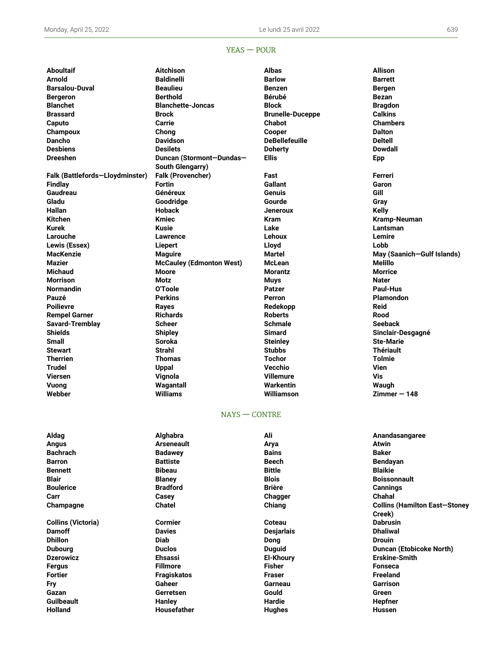## YEAS — POUR

**Webber Williams Williamson Zimmer — 148**

**Aboultaif Aitchison Albas Allison Arnold Baldinelli Barlow Barrett Barsalou-Duval Beaulieu Benzen Bergen Bergeron Berthold Bérubé Bezan Blanchet Blanchette-Joncas Block Bragdon Brassard Brock Brunelle-Duceppe Calkins Caputo Carrie Chabot Chambers Champoux Chong Cooper Dalton Dancho Davidson DeBellefeuille Deltell Desbiens Desilets Doherty Dowdall Dreeshen Duncan (Stormont—Dundas— South Glengarry) Falk (Battlefords—Lloydminster) Falk (Provencher) Fast Ferreri Findlay Fortin Gallant Garon Gaudreau Généreux Genuis Gill Gladu Goodridge Gourde Gray Hallan Hoback Jeneroux Kelly Kitchen Kmiec Kram Kramp-Neuman Kurek Kusie Lake Lantsman Larouche Lawrence Lehoux Lemire Lewis (Essex) Liepert Lloyd Lobb MacKenzie Maguire Martel May (Saanich—Gulf Islands) Mazier McCauley (Edmonton West) McLean Melillo Michaud Moore Morantz Morrice Morrison Motz Muys Nater Normandin O'Toole Patzer Paul-Hus Pauzé Perkins Perron Plamondon Poilievre Rayes Redekopp Reid Rempel Garner Richards Roberts Rood Savard-Tremblay Scheer Schmale Seeback Shields Shipley Simard Sinclair-Desgagné Small Soroka Steinley Ste-Marie Stewart Strahl Stubbs Thériault Therrien Thomas Tochor Tolmie Trudel Uppal Vecchio Vien Viersen Vignola Villemure Vis Vuong Wagantall Warkentin Waugh**

**Ellis Epp**

#### NAYS — CONTRE

| Aldag                     | Alghabra           | Ali               | Anandasangaree                       |
|---------------------------|--------------------|-------------------|--------------------------------------|
| Angus                     | <b>Arseneault</b>  | Arya              | Atwin                                |
| Bachrach                  | <b>Badawey</b>     | <b>Bains</b>      | <b>Baker</b>                         |
| <b>Barron</b>             | <b>Battiste</b>    | Beech             | Bendayan                             |
| <b>Bennett</b>            | <b>Bibeau</b>      | <b>Bittle</b>     | <b>Blaikie</b>                       |
| <b>Blair</b>              | <b>Blaney</b>      | <b>Blois</b>      | <b>Boissonnault</b>                  |
| <b>Boulerice</b>          | <b>Bradford</b>    | <b>Brière</b>     | <b>Cannings</b>                      |
| Carr                      | Casey              | Chagger           | <b>Chahal</b>                        |
| Champagne                 | <b>Chatel</b>      | Chiang            | <b>Collins (Hamilton East-Stoney</b> |
|                           |                    |                   | Creek)                               |
| <b>Collins (Victoria)</b> | <b>Cormier</b>     | <b>Coteau</b>     | <b>Dabrusin</b>                      |
| <b>Damoff</b>             | <b>Davies</b>      | <b>Desjarlais</b> | <b>Dhaliwal</b>                      |
| Dhillon                   | <b>Diab</b>        | Dong              | <b>Drouin</b>                        |
| <b>Dubourg</b>            | <b>Duclos</b>      | Duguid            | <b>Duncan (Etobicoke North)</b>      |
| <b>Dzerowicz</b>          | <b>Ehsassi</b>     | <b>El-Khoury</b>  | <b>Erskine-Smith</b>                 |
| Fergus                    | <b>Fillmore</b>    | <b>Fisher</b>     | Fonseca                              |
| Fortier                   | <b>Fragiskatos</b> | <b>Fraser</b>     | Freeland                             |
| Fry                       | Gaheer             | Garneau           | Garrison                             |
| Gazan                     | Gerretsen          | Gould             | Green                                |
| <b>Guilbeault</b>         | <b>Hanley</b>      | Hardie            | <b>Hepfner</b>                       |
| Holland                   | <b>Housefather</b> | <b>Hughes</b>     | <b>Hussen</b>                        |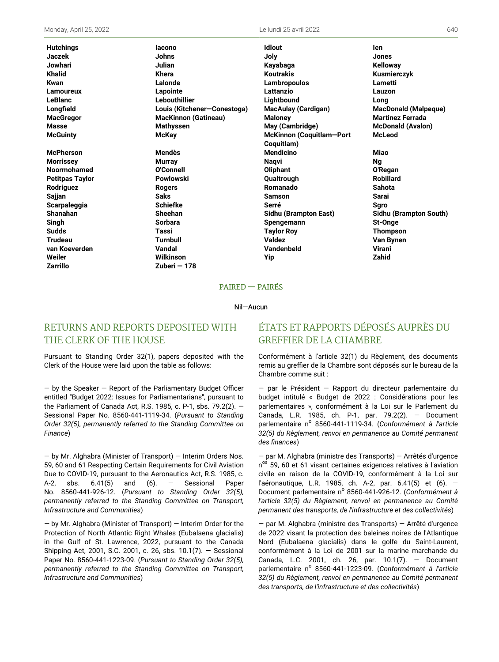Monday, April 25, 2022 Le lundi 25 avril 2022 640

**Zarrillo Zuberi — 178**

**Jaczek Johns Joly Jones Jowhari Julian Kayabaga Kelloway Khalid Khera Koutrakis Kusmierczyk Kwan Lalonde Lambropoulos Lametti Lamoureux Lapointe Lattanzio Lauzon LeBlanc Lebouthillier Lightbound Long Longfield Louis (Kitchener—Conestoga) MacAulay (Cardigan) MacDonald (Malpeque) MacGregor MacKinnon (Gatineau) Maloney Martinez Ferrada Masse Mathyssen May (Cambridge) McDonald (Avalon) McGuinty McKay McKinnon (Coquitlam—Port McPherson Mendès Mendicino Miao Morrissey Murray Naqvi Ng Noormohamed O'Connell Oliphant O'Regan Petitpas Taylor Powlowski Qualtrough Robillard Rodriguez Rogers Romanado Sahota Sajjan Saks Samson Sarai Scarpaleggia Schiefke Serré Sgro Shanahan Sheehan Sidhu (Brampton East) Sidhu (Brampton South)**

**Hutchings Iacono Idlout Ien Coquitlam) Singh Sorbara Spengemann St-Onge Sudds Tassi Taylor Roy Thompson Trudeau Turnbull Valdez Van Bynen van Koeverden Vandal Vandenbeld Virani Weiler Wilkinson Yip Zahid**

**McLeod**

#### PAIRED — PAIRÉS

#### Nil—Aucun

# RETURNS AND REPORTS DEPOSITED WITH THE CLERK OF THE HOUSE

Pursuant to Standing Order 32(1), papers deposited with the Clerk of the House were laid upon the table as follows:

— by the Speaker — Report of the Parliamentary Budget Officer entitled "Budget 2022: Issues for Parliamentarians", pursuant to the Parliament of Canada Act, R.S. 1985, c. P-1, sbs. 79.2(2). — Sessional Paper No. 8560-441-1119-34. (*Pursuant to Standing Order 32(5), permanently referred to the Standing Committee on Finance*)

— by Mr. Alghabra (Minister of Transport) — Interim Orders Nos. 59, 60 and 61 Respecting Certain Requirements for Civil Aviation Due to COVID-19, pursuant to the Aeronautics Act, R.S. 1985, c. A-2, sbs.  $6.41(5)$  and  $(6)$ .  $-$  Sessional Paper No. 8560-441-926-12. (*Pursuant to Standing Order 32(5), permanently referred to the Standing Committee on Transport, Infrastructure and Communities*)

— by Mr. Alghabra (Minister of Transport) — Interim Order for the Protection of North Atlantic Right Whales (Eubalaena glacialis) in the Gulf of St. Lawrence, 2022, pursuant to the Canada Shipping Act, 2001, S.C. 2001, c. 26, sbs. 10.1(7). — Sessional Paper No. 8560-441-1223-09. (*Pursuant to Standing Order 32(5), permanently referred to the Standing Committee on Transport, Infrastructure and Communities*)

# ÉTATS ET RAPPORTS DÉPOSÉS AUPRÈS DU GREFFIER DE LA CHAMBRE

Conformément à l'article 32(1) du Règlement, des documents remis au greffier de la Chambre sont déposés sur le bureau de la Chambre comme suit :

— par le Président — Rapport du directeur parlementaire du budget intitulé « Budget de 2022 : Considérations pour les parlementaires », conformément à la Loi sur le Parlement du Canada, L.R. 1985, ch. P-1, par. 79.2(2). — Document parlementaire n<sup>o</sup> 8560-441-1119-34. (Conformément à l'article *32(5) du Règlement, renvoi en permanence au Comité permanent des finances*)

— par M. Alghabra (ministre des Transports) — Arrêtés d'urgence n<sup>os</sup> 59, 60 et 61 visant certaines exigences relatives à l'aviation civile en raison de la COVID-19, conformément à la Loi sur l'aéronautique, L.R. 1985, ch. A-2, par. 6.41(5) et (6). — Document parlementaire nº 8560-441-926-12. (Conformément à *l'article 32(5) du Règlement, renvoi en permanence au Comité permanent des transports, de l'infrastructure et des collectivités*)

— par M. Alghabra (ministre des Transports) — Arrêté d'urgence de 2022 visant la protection des baleines noires de l'Atlantique Nord (Eubalaena glacialis) dans le golfe du Saint-Laurent, conformément à la Loi de 2001 sur la marine marchande du Canada, L.C. 2001, ch. 26, par. 10.1(7). — Document parlementaire n<sup>o</sup> 8560-441-1223-09. (Conformément à l'article *32(5) du Règlement, renvoi en permanence au Comité permanent des transports, de l'infrastructure et des collectivités*)